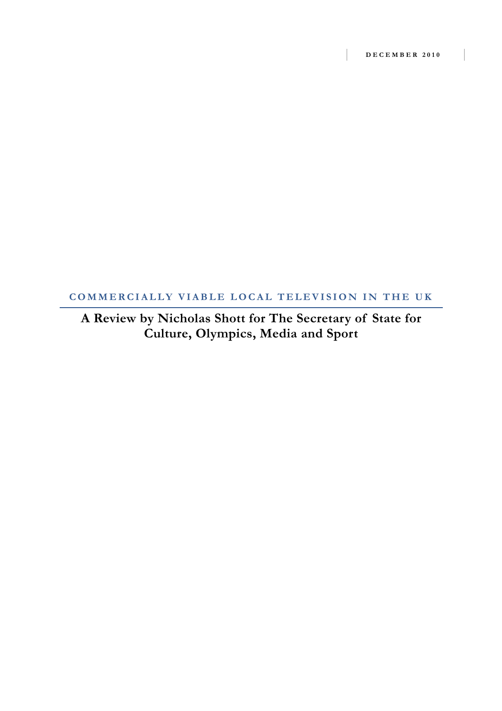## **COMMERCIALLY VIABLE LOCAL TELEVISION IN THE UK**

**A Review by Nicholas Shott for The Secretary of State for Culture, Olympics, Media and Sport**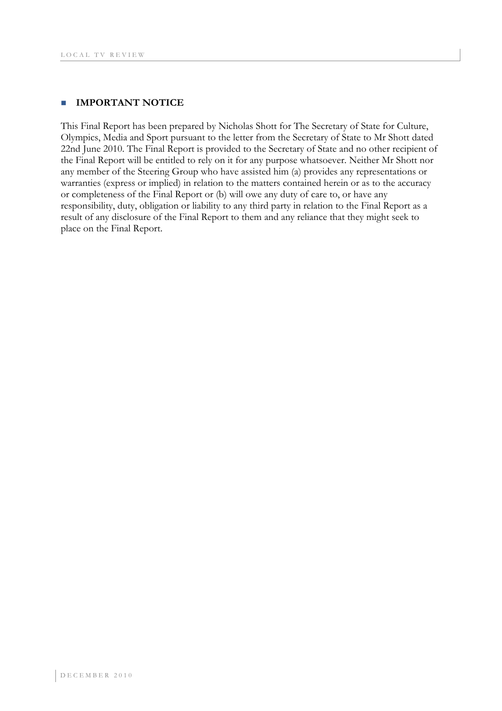#### **IMPORTANT NOTICE**

This Final Report has been prepared by Nicholas Shott for The Secretary of State for Culture, Olympics, Media and Sport pursuant to the letter from the Secretary of State to Mr Shott dated 22nd June 2010. The Final Report is provided to the Secretary of State and no other recipient of the Final Report will be entitled to rely on it for any purpose whatsoever. Neither Mr Shott nor any member of the Steering Group who have assisted him (a) provides any representations or warranties (express or implied) in relation to the matters contained herein or as to the accuracy or completeness of the Final Report or (b) will owe any duty of care to, or have any responsibility, duty, obligation or liability to any third party in relation to the Final Report as a result of any disclosure of the Final Report to them and any reliance that they might seek to place on the Final Report.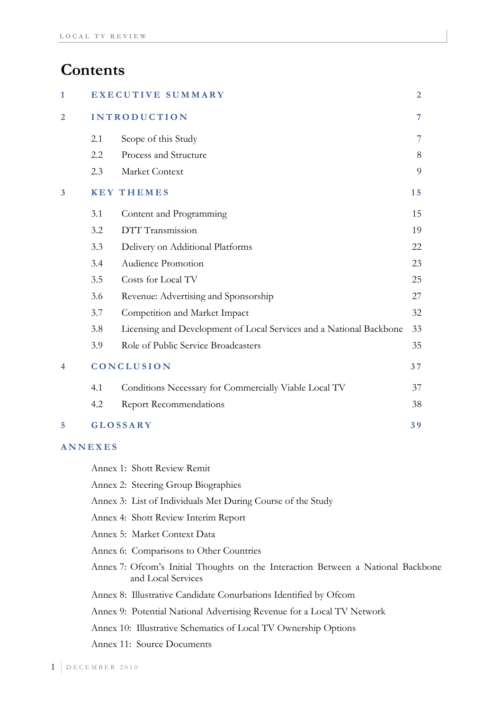# **Contents**

| $\mathbf{1}$   |            | EXECUTIVE SUMMARY                                                   |    |  |
|----------------|------------|---------------------------------------------------------------------|----|--|
| $\overline{2}$ |            | <b>INTRODUCTION</b>                                                 |    |  |
|                | 2.1        | Scope of this Study                                                 | 7  |  |
|                | 2.2        | Process and Structure                                               | 8  |  |
|                | 2.3        | Market Context                                                      | 9  |  |
| 3              |            | <b>KEY THEMES</b>                                                   | 15 |  |
|                | 3.1        | Content and Programming                                             | 15 |  |
|                | 3.2        | DTT Transmission                                                    | 19 |  |
|                | 3.3        | Delivery on Additional Platforms                                    | 22 |  |
|                | 3.4        | Audience Promotion                                                  | 23 |  |
|                | 3.5        | Costs for Local TV                                                  | 25 |  |
|                | 3.6        | Revenue: Advertising and Sponsorship                                | 27 |  |
|                | 3.7        | Competition and Market Impact                                       | 32 |  |
|                | 3.8        | Licensing and Development of Local Services and a National Backbone | 33 |  |
|                | 3.9        | Role of Public Service Broadcasters                                 | 35 |  |
| 4              | CONCLUSION |                                                                     |    |  |
|                | 4.1        | Conditions Necessary for Commercially Viable Local TV               | 37 |  |
|                | 4.2        | <b>Report Recommendations</b>                                       | 38 |  |
| 5              |            | <b>GLOSSARY</b>                                                     | 39 |  |
|                |            |                                                                     |    |  |

### **ANNEXES**

| Annex 1: Shott Review Remit                                                                            |
|--------------------------------------------------------------------------------------------------------|
| Annex 2: Steering Group Biographies                                                                    |
| Annex 3: List of Individuals Met During Course of the Study                                            |
| Annex 4: Shott Review Interim Report                                                                   |
| Annex 5: Market Context Data                                                                           |
| Annex 6: Comparisons to Other Countries                                                                |
| Annex 7: Ofcom's Initial Thoughts on the Interaction Between a National Backbone<br>and Local Services |
| Annex 8: Illustrative Candidate Conurbations Identified by Ofcom                                       |
| Annex 9: Potential National Advertising Revenue for a Local TV Network                                 |
| Annex 10: Illustrative Schematics of Local TV Ownership Options                                        |
| <b>Annex 11: Source Documents</b>                                                                      |
|                                                                                                        |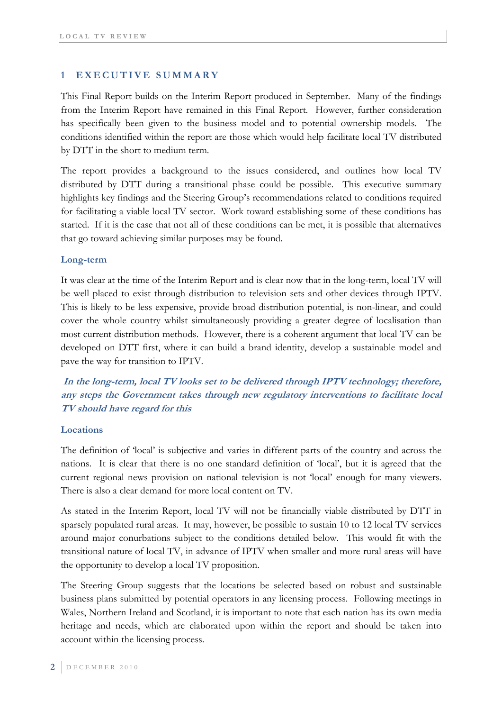### **1 EXECUTIVE SUMMARY**

This Final Report builds on the Interim Report produced in September. Many of the findings from the Interim Report have remained in this Final Report. However, further consideration has specifically been given to the business model and to potential ownership models. The conditions identified within the report are those which would help facilitate local TV distributed by DTT in the short to medium term.

The report provides a background to the issues considered, and outlines how local TV distributed by DTT during a transitional phase could be possible. This executive summary highlights key findings and the Steering Group's recommendations related to conditions required for facilitating a viable local TV sector. Work toward establishing some of these conditions has started. If it is the case that not all of these conditions can be met, it is possible that alternatives that go toward achieving similar purposes may be found.

#### **Long-term**

It was clear at the time of the Interim Report and is clear now that in the long-term, local TV will be well placed to exist through distribution to television sets and other devices through IPTV. This is likely to be less expensive, provide broad distribution potential, is non-linear, and could cover the whole country whilst simultaneously providing a greater degree of localisation than most current distribution methods. However, there is a coherent argument that local TV can be developed on DTT first, where it can build a brand identity, develop a sustainable model and pave the way for transition to IPTV.

 **In the long-term, local TV looks set to be delivered through IPTV technology; therefore, any steps the Government takes through new regulatory interventions to facilitate local TV should have regard for this** 

#### **Locations**

The definition of 'local' is subjective and varies in different parts of the country and across the nations. It is clear that there is no one standard definition of 'local', but it is agreed that the current regional news provision on national television is not 'local' enough for many viewers. There is also a clear demand for more local content on TV.

As stated in the Interim Report, local TV will not be financially viable distributed by DTT in sparsely populated rural areas. It may, however, be possible to sustain 10 to 12 local TV services around major conurbations subject to the conditions detailed below. This would fit with the transitional nature of local TV, in advance of IPTV when smaller and more rural areas will have the opportunity to develop a local TV proposition.

The Steering Group suggests that the locations be selected based on robust and sustainable business plans submitted by potential operators in any licensing process. Following meetings in Wales, Northern Ireland and Scotland, it is important to note that each nation has its own media heritage and needs, which are elaborated upon within the report and should be taken into account within the licensing process.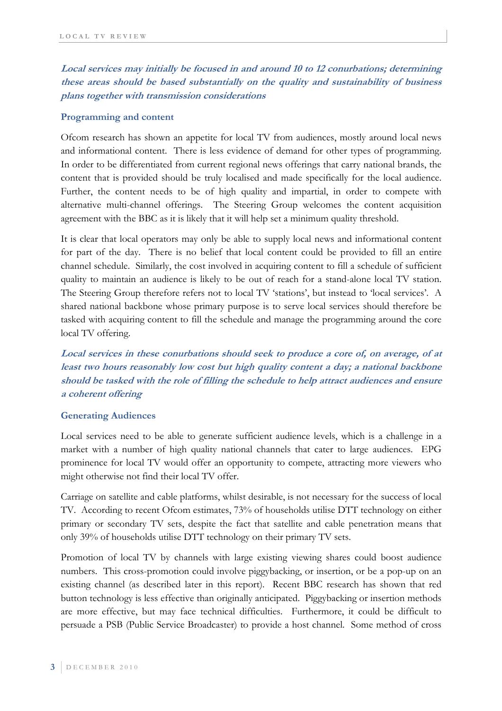**Local services may initially be focused in and around 10 to 12 conurbations; determining these areas should be based substantially on the quality and sustainability of business plans together with transmission considerations** 

#### **Programming and content**

Ofcom research has shown an appetite for local TV from audiences, mostly around local news and informational content. There is less evidence of demand for other types of programming. In order to be differentiated from current regional news offerings that carry national brands, the content that is provided should be truly localised and made specifically for the local audience. Further, the content needs to be of high quality and impartial, in order to compete with alternative multi-channel offerings. The Steering Group welcomes the content acquisition agreement with the BBC as it is likely that it will help set a minimum quality threshold.

It is clear that local operators may only be able to supply local news and informational content for part of the day. There is no belief that local content could be provided to fill an entire channel schedule. Similarly, the cost involved in acquiring content to fill a schedule of sufficient quality to maintain an audience is likely to be out of reach for a stand-alone local TV station. The Steering Group therefore refers not to local TV 'stations', but instead to 'local services'. A shared national backbone whose primary purpose is to serve local services should therefore be tasked with acquiring content to fill the schedule and manage the programming around the core local TV offering.

**Local services in these conurbations should seek to produce a core of, on average, of at least two hours reasonably low cost but high quality content a day; a national backbone should be tasked with the role of filling the schedule to help attract audiences and ensure a coherent offering** 

#### **Generating Audiences**

Local services need to be able to generate sufficient audience levels, which is a challenge in a market with a number of high quality national channels that cater to large audiences. EPG prominence for local TV would offer an opportunity to compete, attracting more viewers who might otherwise not find their local TV offer.

Carriage on satellite and cable platforms, whilst desirable, is not necessary for the success of local TV. According to recent Ofcom estimates, 73% of households utilise DTT technology on either primary or secondary TV sets, despite the fact that satellite and cable penetration means that only 39% of households utilise DTT technology on their primary TV sets.

Promotion of local TV by channels with large existing viewing shares could boost audience numbers. This cross-promotion could involve piggybacking, or insertion, or be a pop-up on an existing channel (as described later in this report). Recent BBC research has shown that red button technology is less effective than originally anticipated. Piggybacking or insertion methods are more effective, but may face technical difficulties. Furthermore, it could be difficult to persuade a PSB (Public Service Broadcaster) to provide a host channel. Some method of cross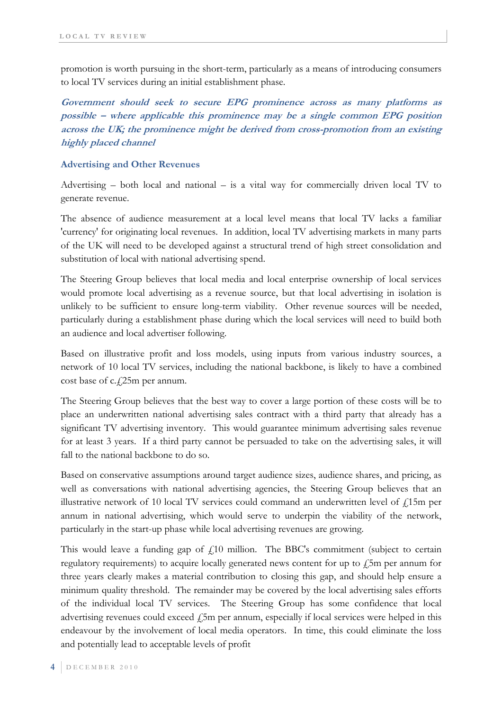promotion is worth pursuing in the short-term, particularly as a means of introducing consumers to local TV services during an initial establishment phase.

**Government should seek to secure EPG prominence across as many platforms as possible – where applicable this prominence may be a single common EPG position across the UK; the prominence might be derived from cross-promotion from an existing highly placed channel** 

#### **Advertising and Other Revenues**

Advertising – both local and national – is a vital way for commercially driven local TV to generate revenue.

The absence of audience measurement at a local level means that local TV lacks a familiar 'currency' for originating local revenues. In addition, local TV advertising markets in many parts of the UK will need to be developed against a structural trend of high street consolidation and substitution of local with national advertising spend.

The Steering Group believes that local media and local enterprise ownership of local services would promote local advertising as a revenue source, but that local advertising in isolation is unlikely to be sufficient to ensure long-term viability. Other revenue sources will be needed, particularly during a establishment phase during which the local services will need to build both an audience and local advertiser following.

Based on illustrative profit and loss models, using inputs from various industry sources, a network of 10 local TV services, including the national backbone, is likely to have a combined cost base of  $c.f.25m$  per annum.

The Steering Group believes that the best way to cover a large portion of these costs will be to place an underwritten national advertising sales contract with a third party that already has a significant TV advertising inventory. This would guarantee minimum advertising sales revenue for at least 3 years. If a third party cannot be persuaded to take on the advertising sales, it will fall to the national backbone to do so.

Based on conservative assumptions around target audience sizes, audience shares, and pricing, as well as conversations with national advertising agencies, the Steering Group believes that an illustrative network of 10 local TV services could command an underwritten level of  $f<sub>i</sub>$ 15m per annum in national advertising, which would serve to underpin the viability of the network, particularly in the start-up phase while local advertising revenues are growing.

This would leave a funding gap of  $f(10)$  million. The BBC's commitment (subject to certain regulatory requirements) to acquire locally generated news content for up to  $\oint$ 5m per annum for three years clearly makes a material contribution to closing this gap, and should help ensure a minimum quality threshold. The remainder may be covered by the local advertising sales efforts of the individual local TV services. The Steering Group has some confidence that local advertising revenues could exceed  $\ell$ 5m per annum, especially if local services were helped in this endeavour by the involvement of local media operators. In time, this could eliminate the loss and potentially lead to acceptable levels of profit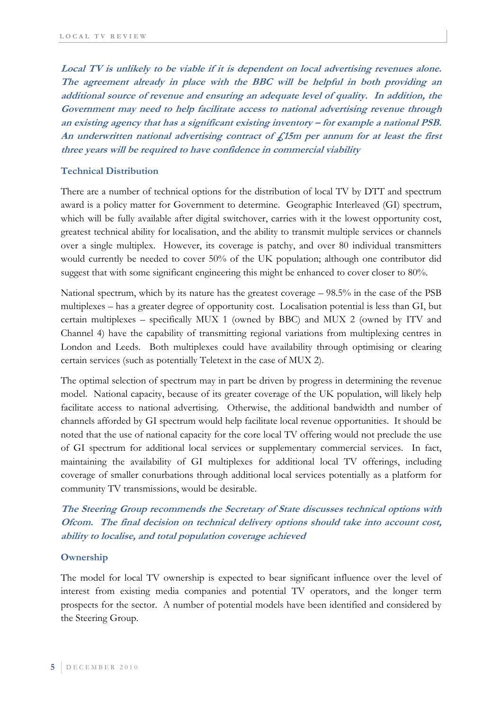**Local TV is unlikely to be viable if it is dependent on local advertising revenues alone. The agreement already in place with the BBC will be helpful in both providing an additional source of revenue and ensuring an adequate level of quality. In addition, the Government may need to help facilitate access to national advertising revenue through an existing agency that has a significant existing inventory – for example a national PSB. An underwritten national advertising contract of £15m per annum for at least the first three years will be required to have confidence in commercial viability** 

#### **Technical Distribution**

There are a number of technical options for the distribution of local TV by DTT and spectrum award is a policy matter for Government to determine. Geographic Interleaved (GI) spectrum, which will be fully available after digital switchover, carries with it the lowest opportunity cost, greatest technical ability for localisation, and the ability to transmit multiple services or channels over a single multiplex. However, its coverage is patchy, and over 80 individual transmitters would currently be needed to cover 50% of the UK population; although one contributor did suggest that with some significant engineering this might be enhanced to cover closer to 80%.

National spectrum, which by its nature has the greatest coverage – 98.5% in the case of the PSB multiplexes – has a greater degree of opportunity cost. Localisation potential is less than GI, but certain multiplexes – specifically MUX 1 (owned by BBC) and MUX 2 (owned by ITV and Channel 4) have the capability of transmitting regional variations from multiplexing centres in London and Leeds. Both multiplexes could have availability through optimising or clearing certain services (such as potentially Teletext in the case of MUX 2).

The optimal selection of spectrum may in part be driven by progress in determining the revenue model. National capacity, because of its greater coverage of the UK population, will likely help facilitate access to national advertising. Otherwise, the additional bandwidth and number of channels afforded by GI spectrum would help facilitate local revenue opportunities. It should be noted that the use of national capacity for the core local TV offering would not preclude the use of GI spectrum for additional local services or supplementary commercial services. In fact, maintaining the availability of GI multiplexes for additional local TV offerings, including coverage of smaller conurbations through additional local services potentially as a platform for community TV transmissions, would be desirable.

## **The Steering Group recommends the Secretary of State discusses technical options with Ofcom. The final decision on technical delivery options should take into account cost, ability to localise, and total population coverage achieved**

#### **Ownership**

The model for local TV ownership is expected to bear significant influence over the level of interest from existing media companies and potential TV operators, and the longer term prospects for the sector. A number of potential models have been identified and considered by the Steering Group.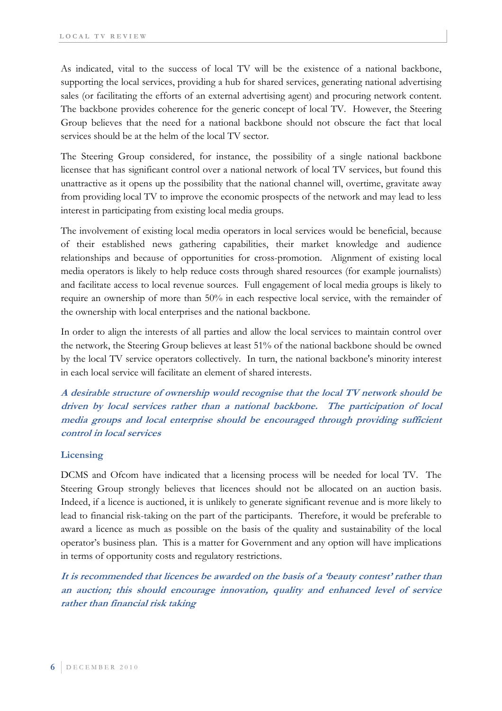As indicated, vital to the success of local TV will be the existence of a national backbone, supporting the local services, providing a hub for shared services, generating national advertising sales (or facilitating the efforts of an external advertising agent) and procuring network content. The backbone provides coherence for the generic concept of local TV. However, the Steering Group believes that the need for a national backbone should not obscure the fact that local services should be at the helm of the local TV sector.

The Steering Group considered, for instance, the possibility of a single national backbone licensee that has significant control over a national network of local TV services, but found this unattractive as it opens up the possibility that the national channel will, overtime, gravitate away from providing local TV to improve the economic prospects of the network and may lead to less interest in participating from existing local media groups.

The involvement of existing local media operators in local services would be beneficial, because of their established news gathering capabilities, their market knowledge and audience relationships and because of opportunities for cross-promotion. Alignment of existing local media operators is likely to help reduce costs through shared resources (for example journalists) and facilitate access to local revenue sources. Full engagement of local media groups is likely to require an ownership of more than 50% in each respective local service, with the remainder of the ownership with local enterprises and the national backbone.

In order to align the interests of all parties and allow the local services to maintain control over the network, the Steering Group believes at least 51% of the national backbone should be owned by the local TV service operators collectively. In turn, the national backbone's minority interest in each local service will facilitate an element of shared interests.

**A desirable structure of ownership would recognise that the local TV network should be driven by local services rather than a national backbone. The participation of local media groups and local enterprise should be encouraged through providing sufficient control in local services** 

### **Licensing**

DCMS and Ofcom have indicated that a licensing process will be needed for local TV. The Steering Group strongly believes that licences should not be allocated on an auction basis. Indeed, if a licence is auctioned, it is unlikely to generate significant revenue and is more likely to lead to financial risk-taking on the part of the participants. Therefore, it would be preferable to award a licence as much as possible on the basis of the quality and sustainability of the local operator's business plan. This is a matter for Government and any option will have implications in terms of opportunity costs and regulatory restrictions.

**It is recommended that licences be awarded on the basis of a 'beauty contest' rather than an auction; this should encourage innovation, quality and enhanced level of service rather than financial risk taking**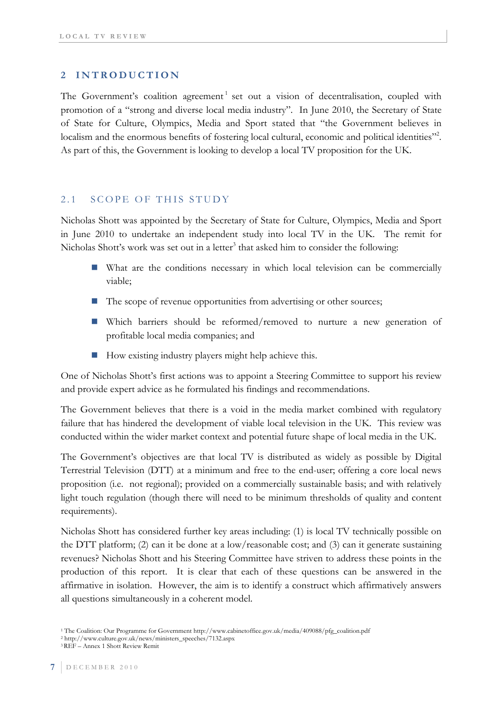## **2 INTRODUCTION**

The Government's coalition agreement<sup>1</sup> set out a vision of decentralisation, coupled with promotion of a "strong and diverse local media industry". In June 2010, the Secretary of State of State for Culture, Olympics, Media and Sport stated that "the Government believes in localism and the enormous benefits of fostering local cultural, economic and political identities"<sup>2</sup>. As part of this, the Government is looking to develop a local TV proposition for the UK.

### 2.1 SCOPE OF THIS STUDY

Nicholas Shott was appointed by the Secretary of State for Culture, Olympics, Media and Sport in June 2010 to undertake an independent study into local TV in the UK. The remit for Nicholas Shott's work was set out in a letter<sup>3</sup> that asked him to consider the following:

- What are the conditions necessary in which local television can be commercially viable;
- The scope of revenue opportunities from advertising or other sources;
- Which barriers should be reformed/removed to nurture a new generation of profitable local media companies; and
- $\blacksquare$  How existing industry players might help achieve this.

One of Nicholas Shott's first actions was to appoint a Steering Committee to support his review and provide expert advice as he formulated his findings and recommendations.

The Government believes that there is a void in the media market combined with regulatory failure that has hindered the development of viable local television in the UK. This review was conducted within the wider market context and potential future shape of local media in the UK.

The Government's objectives are that local TV is distributed as widely as possible by Digital Terrestrial Television (DTT) at a minimum and free to the end-user; offering a core local news proposition (i.e. not regional); provided on a commercially sustainable basis; and with relatively light touch regulation (though there will need to be minimum thresholds of quality and content requirements).

Nicholas Shott has considered further key areas including: (1) is local TV technically possible on the DTT platform; (2) can it be done at a low/reasonable cost; and (3) can it generate sustaining revenues? Nicholas Shott and his Steering Committee have striven to address these points in the production of this report. It is clear that each of these questions can be answered in the affirmative in isolation. However, the aim is to identify a construct which affirmatively answers all questions simultaneously in a coherent model.

<sup>1</sup> The Coalition: Our Programme for Government http://www.cabinetoffice.gov.uk/media/409088/pfg\_coalition.pdf 2 http://www.culture.gov.uk/news/ministers\_speeches/7132.aspx 3 REF – Annex 1 Shott Review Remit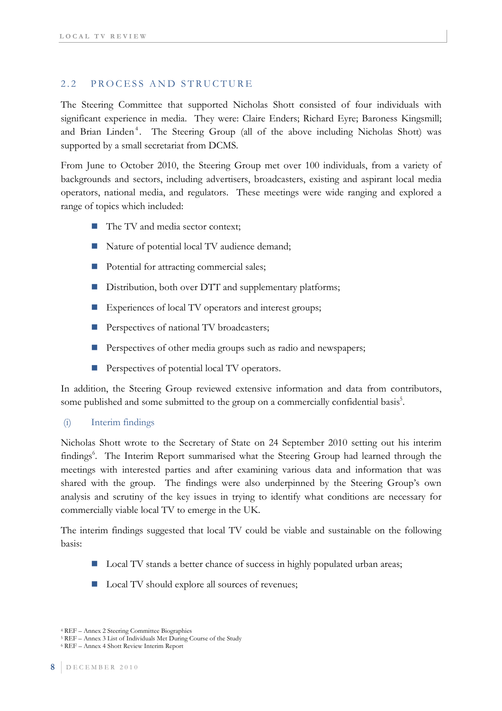### 2.2 PROCESS AND STRUCTURE

The Steering Committee that supported Nicholas Shott consisted of four individuals with significant experience in media. They were: Claire Enders; Richard Eyre; Baroness Kingsmill; and Brian Linden<sup>4</sup>. The Steering Group (all of the above including Nicholas Shott) was supported by a small secretariat from DCMS.

From June to October 2010, the Steering Group met over 100 individuals, from a variety of backgrounds and sectors, including advertisers, broadcasters, existing and aspirant local media operators, national media, and regulators. These meetings were wide ranging and explored a range of topics which included:

- The TV and media sector context;
- Nature of potential local TV audience demand;
- Potential for attracting commercial sales;
- Distribution, both over DTT and supplementary platforms;
- Experiences of local TV operators and interest groups;
- Perspectives of national TV broadcasters;
- Perspectives of other media groups such as radio and newspapers;
- Perspectives of potential local TV operators.

In addition, the Steering Group reviewed extensive information and data from contributors, some published and some submitted to the group on a commercially confidential basis<sup>5</sup>.

### (i) Interim findings

Nicholas Shott wrote to the Secretary of State on 24 September 2010 setting out his interim findings<sup>6</sup>. The Interim Report summarised what the Steering Group had learned through the meetings with interested parties and after examining various data and information that was shared with the group. The findings were also underpinned by the Steering Group's own analysis and scrutiny of the key issues in trying to identify what conditions are necessary for commercially viable local TV to emerge in the UK.

The interim findings suggested that local TV could be viable and sustainable on the following basis:

- Local TV stands a better chance of success in highly populated urban areas;
- Local TV should explore all sources of revenues;

<sup>4</sup> REF – Annex 2 Steering Committee Biographies 5 REF – Annex 3 List of Individuals Met During Course of the Study 6 REF – Annex 4 Shott Review Interim Report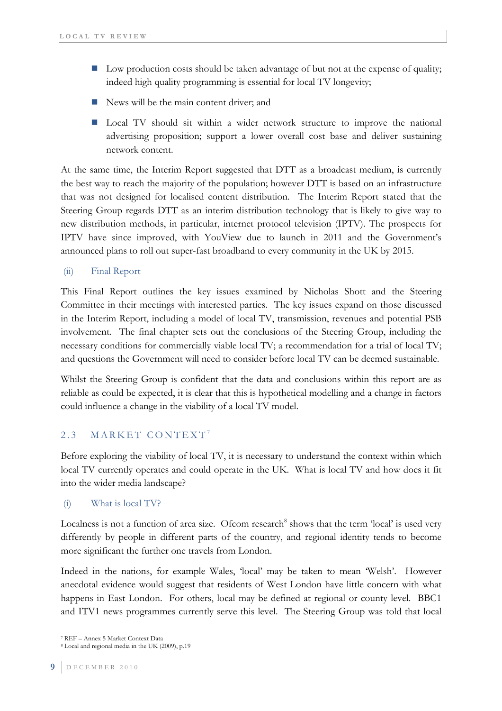- Low production costs should be taken advantage of but not at the expense of quality; indeed high quality programming is essential for local TV longevity;
- News will be the main content driver; and
- **Local TV** should sit within a wider network structure to improve the national advertising proposition; support a lower overall cost base and deliver sustaining network content.

At the same time, the Interim Report suggested that DTT as a broadcast medium, is currently the best way to reach the majority of the population; however DTT is based on an infrastructure that was not designed for localised content distribution. The Interim Report stated that the Steering Group regards DTT as an interim distribution technology that is likely to give way to new distribution methods, in particular, internet protocol television (IPTV). The prospects for IPTV have since improved, with YouView due to launch in 2011 and the Government's announced plans to roll out super-fast broadband to every community in the UK by 2015.

(ii) Final Report

This Final Report outlines the key issues examined by Nicholas Shott and the Steering Committee in their meetings with interested parties. The key issues expand on those discussed in the Interim Report, including a model of local TV, transmission, revenues and potential PSB involvement. The final chapter sets out the conclusions of the Steering Group, including the necessary conditions for commercially viable local TV; a recommendation for a trial of local TV; and questions the Government will need to consider before local TV can be deemed sustainable.

Whilst the Steering Group is confident that the data and conclusions within this report are as reliable as could be expected, it is clear that this is hypothetical modelling and a change in factors could influence a change in the viability of a local TV model.

## 2.3 MARKET CONTEXT<sup>7</sup>

Before exploring the viability of local TV, it is necessary to understand the context within which local TV currently operates and could operate in the UK. What is local TV and how does it fit into the wider media landscape?

### (i) What is local TV?

Localness is not a function of area size. Ofcom research<sup>8</sup> shows that the term 'local' is used very differently by people in different parts of the country, and regional identity tends to become more significant the further one travels from London.

Indeed in the nations, for example Wales, 'local' may be taken to mean 'Welsh'. However anecdotal evidence would suggest that residents of West London have little concern with what happens in East London. For others, local may be defined at regional or county level. BBC1 and ITV1 news programmes currently serve this level. The Steering Group was told that local

<sup>7</sup> REF – Annex 5 Market Context Data

<sup>8</sup> Local and regional media in the UK (2009), p.19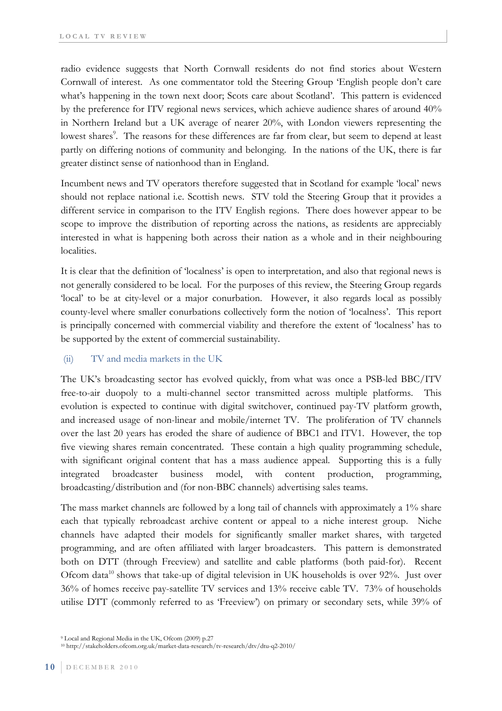radio evidence suggests that North Cornwall residents do not find stories about Western Cornwall of interest. As one commentator told the Steering Group 'English people don't care what's happening in the town next door; Scots care about Scotland'. This pattern is evidenced by the preference for ITV regional news services, which achieve audience shares of around 40% in Northern Ireland but a UK average of nearer 20%, with London viewers representing the lowest shares<sup>9</sup>. The reasons for these differences are far from clear, but seem to depend at least partly on differing notions of community and belonging. In the nations of the UK, there is far greater distinct sense of nationhood than in England.

Incumbent news and TV operators therefore suggested that in Scotland for example 'local' news should not replace national i.e. Scottish news. STV told the Steering Group that it provides a different service in comparison to the ITV English regions. There does however appear to be scope to improve the distribution of reporting across the nations, as residents are appreciably interested in what is happening both across their nation as a whole and in their neighbouring localities.

It is clear that the definition of 'localness' is open to interpretation, and also that regional news is not generally considered to be local. For the purposes of this review, the Steering Group regards 'local' to be at city-level or a major conurbation. However, it also regards local as possibly county-level where smaller conurbations collectively form the notion of 'localness'. This report is principally concerned with commercial viability and therefore the extent of 'localness' has to be supported by the extent of commercial sustainability.

### (ii) TV and media markets in the UK

The UK's broadcasting sector has evolved quickly, from what was once a PSB-led BBC/ITV free-to-air duopoly to a multi-channel sector transmitted across multiple platforms. This evolution is expected to continue with digital switchover, continued pay-TV platform growth, and increased usage of non-linear and mobile/internet TV. The proliferation of TV channels over the last 20 years has eroded the share of audience of BBC1 and ITV1. However, the top five viewing shares remain concentrated. These contain a high quality programming schedule, with significant original content that has a mass audience appeal. Supporting this is a fully integrated broadcaster business model, with content production, programming, broadcasting/distribution and (for non-BBC channels) advertising sales teams.

The mass market channels are followed by a long tail of channels with approximately a 1% share each that typically rebroadcast archive content or appeal to a niche interest group. Niche channels have adapted their models for significantly smaller market shares, with targeted programming, and are often affiliated with larger broadcasters. This pattern is demonstrated both on DTT (through Freeview) and satellite and cable platforms (both paid-for). Recent Ofcom data<sup>10</sup> shows that take-up of digital television in UK households is over  $92\%$ . Just over 36% of homes receive pay-satellite TV services and 13% receive cable TV. 73% of households utilise DTT (commonly referred to as 'Freeview') on primary or secondary sets, while 39% of

<sup>9</sup> Local and Regional Media in the UK, Ofcom (2009) p.27

<sup>10</sup> http://stakeholders.ofcom.org.uk/market-data-research/tv-research/dtv/dtu-q2-2010/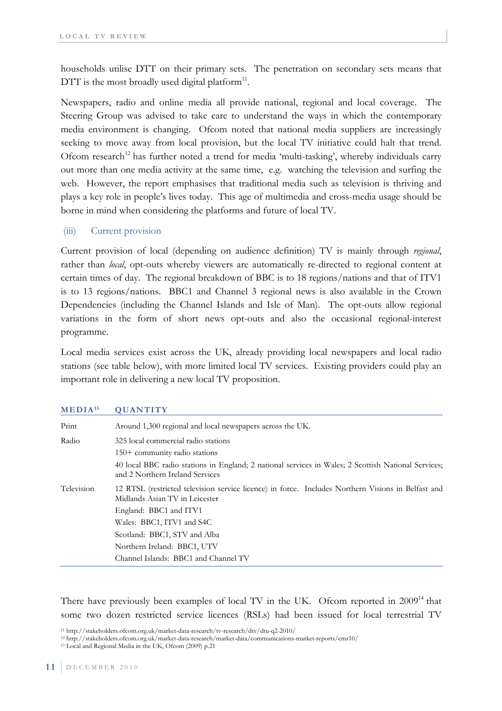households utilise DTT on their primary sets. The penetration on secondary sets means that DTT is the most broadly used digital platform $11$ .

Newspapers, radio and online media all provide national, regional and local coverage. The Steering Group was advised to take care to understand the ways in which the contemporary media environment is changing. Ofcom noted that national media suppliers are increasingly seeking to move away from local provision, but the local TV initiative could halt that trend. Ofcom research<sup>12</sup> has further noted a trend for media 'multi-tasking', whereby individuals carry out more than one media activity at the same time, e.g. watching the television and surfing the web. However, the report emphasises that traditional media such as television is thriving and plays a key role in people's lives today. This age of multimedia and cross-media usage should be borne in mind when considering the platforms and future of local TV.

#### (iii) Current provision

Current provision of local (depending on audience definition) TV is mainly through *regional*, rather than *local*, opt-outs whereby viewers are automatically re-directed to regional content at certain times of day. The regional breakdown of BBC is to 18 regions/nations and that of ITV1 is to 13 regions/nations. BBC1 and Channel 3 regional news is also available in the Crown Dependencies (including the Channel Islands and Isle of Man). The opt-outs allow regional variations in the form of short news opt-outs and also the occasional regional-interest programme.

Local media services exist across the UK, already providing local newspapers and local radio stations (see table below), with more limited local TV services. Existing providers could play an important role in delivering a new local TV proposition.

| Print      | Around 1,300 regional and local newspapers across the UK.                                                                              |  |  |  |  |
|------------|----------------------------------------------------------------------------------------------------------------------------------------|--|--|--|--|
| Radio      | 325 local commercial radio stations                                                                                                    |  |  |  |  |
|            | $150+$ community radio stations                                                                                                        |  |  |  |  |
|            | 40 local BBC radio stations in England; 2 national services in Wales; 2 Scottish National Services;<br>and 2 Northern Ireland Services |  |  |  |  |
| Television | 12 RTSL (restricted television service licence) in force. Includes Northern Visions in Belfast and<br>Midlands Asian TV in Leicester   |  |  |  |  |
|            | England: BBC1 and ITV1                                                                                                                 |  |  |  |  |
|            | Wales: BBC1, ITV1 and S4C                                                                                                              |  |  |  |  |
|            | Scotland: BBC1, STV and Alba                                                                                                           |  |  |  |  |
|            | Northern Ireland: BBC1, UTV                                                                                                            |  |  |  |  |
|            | Channel Islands: BBC1 and Channel TV                                                                                                   |  |  |  |  |

#### **MEDIA13 QUANTITY**

There have previously been examples of local TV in the UK. Ofcom reported in 2009<sup>14</sup> that some two dozen restricted service licences (RSLs) had been issued for local terrestrial TV

11 http://stakeholders.ofcom.org.uk/market-data-research/tv-research/dtv/dtu-q2-2010/

<sup>12</sup> http://stakeholders.ofcom.org.uk/market-data-research/market-data/communications-market-reports/cmr10/ 13 Local and Regional Media in the UK, Ofcom (2009) p.21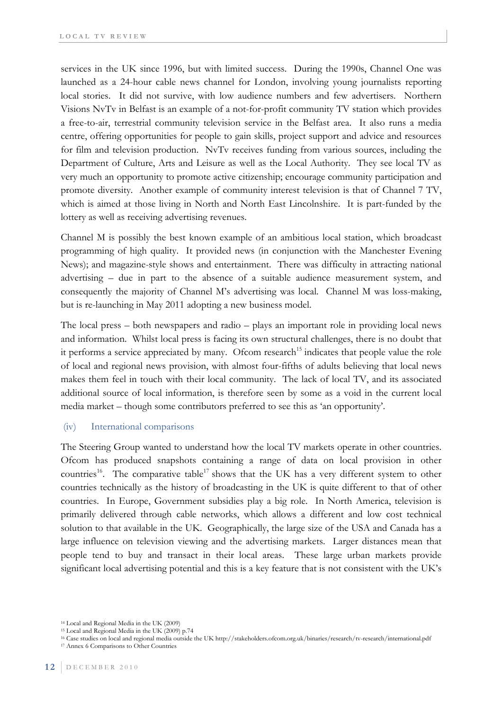services in the UK since 1996, but with limited success. During the 1990s, Channel One was launched as a 24-hour cable news channel for London, involving young journalists reporting local stories. It did not survive, with low audience numbers and few advertisers. Northern Visions NvTv in Belfast is an example of a not-for-profit community TV station which provides a free-to-air, terrestrial community television service in the Belfast area. It also runs a media centre, offering opportunities for people to gain skills, project support and advice and resources for film and television production. NvTv receives funding from various sources, including the Department of Culture, Arts and Leisure as well as the Local Authority. They see local TV as very much an opportunity to promote active citizenship; encourage community participation and promote diversity. Another example of community interest television is that of Channel 7 TV, which is aimed at those living in North and North East Lincolnshire. It is part-funded by the lottery as well as receiving advertising revenues.

Channel M is possibly the best known example of an ambitious local station, which broadcast programming of high quality. It provided news (in conjunction with the Manchester Evening News); and magazine-style shows and entertainment. There was difficulty in attracting national advertising – due in part to the absence of a suitable audience measurement system, and consequently the majority of Channel M's advertising was local. Channel M was loss-making, but is re-launching in May 2011 adopting a new business model.

The local press – both newspapers and radio – plays an important role in providing local news and information. Whilst local press is facing its own structural challenges, there is no doubt that it performs a service appreciated by many. Ofcom research<sup>15</sup> indicates that people value the role of local and regional news provision, with almost four-fifths of adults believing that local news makes them feel in touch with their local community. The lack of local TV, and its associated additional source of local information, is therefore seen by some as a void in the current local media market – though some contributors preferred to see this as 'an opportunity'.

#### (iv) International comparisons

The Steering Group wanted to understand how the local TV markets operate in other countries. Ofcom has produced snapshots containing a range of data on local provision in other countries<sup>16</sup>. The comparative table<sup>17</sup> shows that the UK has a very different system to other countries technically as the history of broadcasting in the UK is quite different to that of other countries. In Europe, Government subsidies play a big role. In North America, television is primarily delivered through cable networks, which allows a different and low cost technical solution to that available in the UK. Geographically, the large size of the USA and Canada has a large influence on television viewing and the advertising markets. Larger distances mean that people tend to buy and transact in their local areas. These large urban markets provide significant local advertising potential and this is a key feature that is not consistent with the UK's

<sup>14</sup> Local and Regional Media in the UK (2009)

<sup>15</sup> Local and Regional Media in the UK (2009) p.74

<sup>16</sup> Case studies on local and regional media outside the UK http://stakeholders.ofcom.org.uk/binaries/research/tv-research/international.pdf 17 Annex 6 Comparisons to Other Countries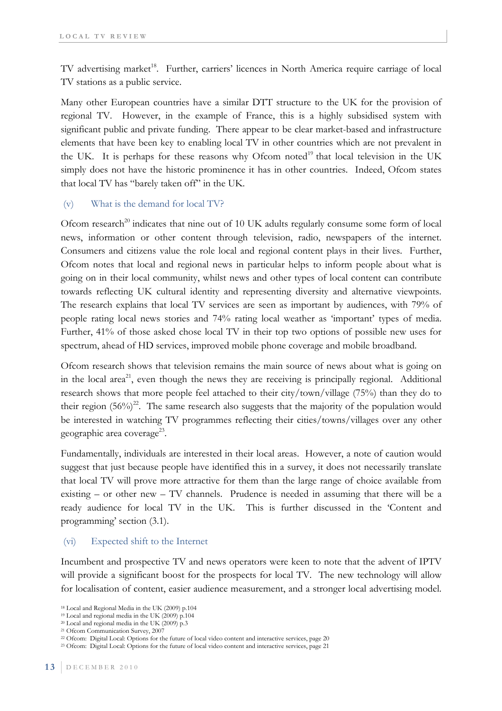TV advertising market<sup>18</sup>. Further, carriers' licences in North America require carriage of local TV stations as a public service.

Many other European countries have a similar DTT structure to the UK for the provision of regional TV. However, in the example of France, this is a highly subsidised system with significant public and private funding. There appear to be clear market-based and infrastructure elements that have been key to enabling local TV in other countries which are not prevalent in the UK. It is perhaps for these reasons why Ofcom noted<sup>19</sup> that local television in the UK simply does not have the historic prominence it has in other countries. Indeed, Ofcom states that local TV has "barely taken off" in the UK.

### (v) What is the demand for local TV?

Ofcom research<sup>20</sup> indicates that nine out of 10 UK adults regularly consume some form of local news, information or other content through television, radio, newspapers of the internet. Consumers and citizens value the role local and regional content plays in their lives. Further, Ofcom notes that local and regional news in particular helps to inform people about what is going on in their local community, whilst news and other types of local content can contribute towards reflecting UK cultural identity and representing diversity and alternative viewpoints. The research explains that local TV services are seen as important by audiences, with 79% of people rating local news stories and 74% rating local weather as 'important' types of media. Further, 41% of those asked chose local TV in their top two options of possible new uses for spectrum, ahead of HD services, improved mobile phone coverage and mobile broadband.

Ofcom research shows that television remains the main source of news about what is going on in the local area<sup>21</sup>, even though the news they are receiving is principally regional. Additional research shows that more people feel attached to their city/town/village (75%) than they do to their region  $(56\%)^2$ . The same research also suggests that the majority of the population would be interested in watching TV programmes reflecting their cities/towns/villages over any other geographic area coverage<sup>23</sup>.

Fundamentally, individuals are interested in their local areas. However, a note of caution would suggest that just because people have identified this in a survey, it does not necessarily translate that local TV will prove more attractive for them than the large range of choice available from existing – or other new – TV channels. Prudence is needed in assuming that there will be a ready audience for local TV in the UK. This is further discussed in the 'Content and programming' section (3.1).

### (vi) Expected shift to the Internet

Incumbent and prospective TV and news operators were keen to note that the advent of IPTV will provide a significant boost for the prospects for local TV. The new technology will allow for localisation of content, easier audience measurement, and a stronger local advertising model.

<sup>18</sup> Local and Regional Media in the UK (2009) p.104

<sup>19</sup> Local and regional media in the UK (2009) p.104

<sup>&</sup>lt;sup>20</sup> Local and regional media in the UK (2009) p.3

<sup>&</sup>lt;sup>21</sup> Ofcom Communication Survey, 2007

<sup>22</sup> Ofcom: Digital Local: Options for the future of local video content and interactive services, page 20

<sup>23</sup> Ofcom: Digital Local: Options for the future of local video content and interactive services, page 21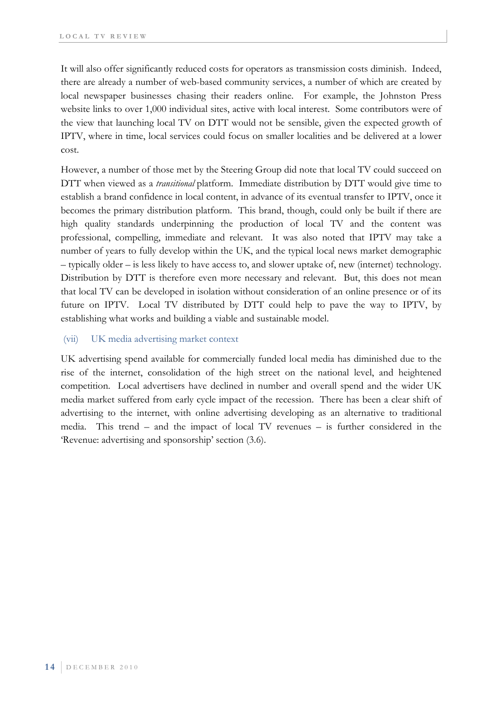It will also offer significantly reduced costs for operators as transmission costs diminish. Indeed, there are already a number of web-based community services, a number of which are created by local newspaper businesses chasing their readers online. For example, the Johnston Press website links to over 1,000 individual sites, active with local interest. Some contributors were of the view that launching local TV on DTT would not be sensible, given the expected growth of IPTV, where in time, local services could focus on smaller localities and be delivered at a lower cost.

However, a number of those met by the Steering Group did note that local TV could succeed on DTT when viewed as a *transitional* platform. Immediate distribution by DTT would give time to establish a brand confidence in local content, in advance of its eventual transfer to IPTV, once it becomes the primary distribution platform. This brand, though, could only be built if there are high quality standards underpinning the production of local TV and the content was professional, compelling, immediate and relevant. It was also noted that IPTV may take a number of years to fully develop within the UK, and the typical local news market demographic – typically older – is less likely to have access to, and slower uptake of, new (internet) technology. Distribution by DTT is therefore even more necessary and relevant. But, this does not mean that local TV can be developed in isolation without consideration of an online presence or of its future on IPTV. Local TV distributed by DTT could help to pave the way to IPTV, by establishing what works and building a viable and sustainable model.

#### (vii) UK media advertising market context

UK advertising spend available for commercially funded local media has diminished due to the rise of the internet, consolidation of the high street on the national level, and heightened competition. Local advertisers have declined in number and overall spend and the wider UK media market suffered from early cycle impact of the recession. There has been a clear shift of advertising to the internet, with online advertising developing as an alternative to traditional media. This trend – and the impact of local TV revenues – is further considered in the 'Revenue: advertising and sponsorship' section (3.6).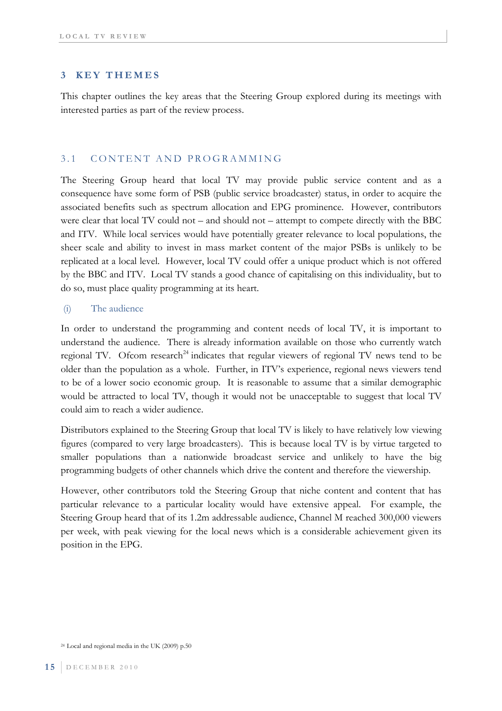#### **3 KEY THEMES**

This chapter outlines the key areas that the Steering Group explored during its meetings with interested parties as part of the review process.

#### 3.1 CONTENT AND PROGRAMMING

The Steering Group heard that local TV may provide public service content and as a consequence have some form of PSB (public service broadcaster) status, in order to acquire the associated benefits such as spectrum allocation and EPG prominence. However, contributors were clear that local TV could not – and should not – attempt to compete directly with the BBC and ITV. While local services would have potentially greater relevance to local populations, the sheer scale and ability to invest in mass market content of the major PSBs is unlikely to be replicated at a local level. However, local TV could offer a unique product which is not offered by the BBC and ITV. Local TV stands a good chance of capitalising on this individuality, but to do so, must place quality programming at its heart.

### (i) The audience

In order to understand the programming and content needs of local TV, it is important to understand the audience. There is already information available on those who currently watch regional TV. Ofcom research<sup>24</sup> indicates that regular viewers of regional TV news tend to be older than the population as a whole. Further, in ITV's experience, regional news viewers tend to be of a lower socio economic group. It is reasonable to assume that a similar demographic would be attracted to local TV, though it would not be unacceptable to suggest that local TV could aim to reach a wider audience.

Distributors explained to the Steering Group that local TV is likely to have relatively low viewing figures (compared to very large broadcasters). This is because local TV is by virtue targeted to smaller populations than a nationwide broadcast service and unlikely to have the big programming budgets of other channels which drive the content and therefore the viewership.

However, other contributors told the Steering Group that niche content and content that has particular relevance to a particular locality would have extensive appeal. For example, the Steering Group heard that of its 1.2m addressable audience, Channel M reached 300,000 viewers per week, with peak viewing for the local news which is a considerable achievement given its position in the EPG.

<sup>24</sup> Local and regional media in the UK (2009) p.50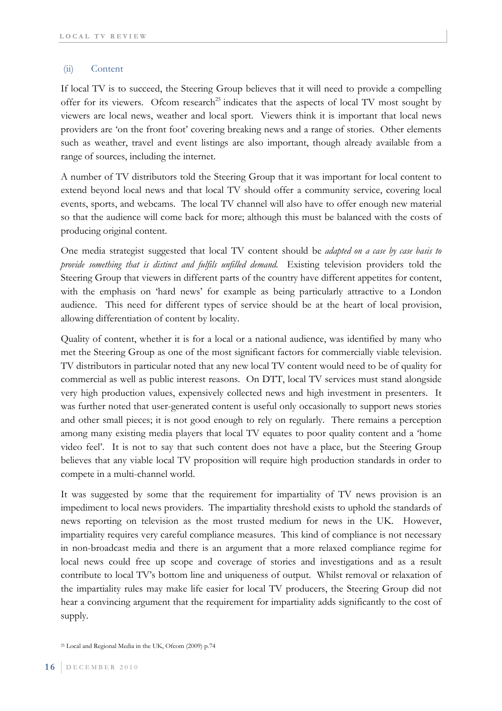#### (ii) Content

If local TV is to succeed, the Steering Group believes that it will need to provide a compelling offer for its viewers. Of com research<sup>25</sup> indicates that the aspects of local TV most sought by viewers are local news, weather and local sport. Viewers think it is important that local news providers are 'on the front foot' covering breaking news and a range of stories. Other elements such as weather, travel and event listings are also important, though already available from a range of sources, including the internet.

A number of TV distributors told the Steering Group that it was important for local content to extend beyond local news and that local TV should offer a community service, covering local events, sports, and webcams. The local TV channel will also have to offer enough new material so that the audience will come back for more; although this must be balanced with the costs of producing original content.

One media strategist suggested that local TV content should be *adapted on a case by case basis to provide something that is distinct and fulfils unfilled demand.* Existing television providers told the Steering Group that viewers in different parts of the country have different appetites for content, with the emphasis on 'hard news' for example as being particularly attractive to a London audience. This need for different types of service should be at the heart of local provision, allowing differentiation of content by locality.

Quality of content, whether it is for a local or a national audience, was identified by many who met the Steering Group as one of the most significant factors for commercially viable television. TV distributors in particular noted that any new local TV content would need to be of quality for commercial as well as public interest reasons. On DTT, local TV services must stand alongside very high production values, expensively collected news and high investment in presenters. It was further noted that user-generated content is useful only occasionally to support news stories and other small pieces; it is not good enough to rely on regularly. There remains a perception among many existing media players that local TV equates to poor quality content and a 'home video feel'. It is not to say that such content does not have a place, but the Steering Group believes that any viable local TV proposition will require high production standards in order to compete in a multi-channel world.

It was suggested by some that the requirement for impartiality of TV news provision is an impediment to local news providers. The impartiality threshold exists to uphold the standards of news reporting on television as the most trusted medium for news in the UK. However, impartiality requires very careful compliance measures. This kind of compliance is not necessary in non-broadcast media and there is an argument that a more relaxed compliance regime for local news could free up scope and coverage of stories and investigations and as a result contribute to local TV's bottom line and uniqueness of output. Whilst removal or relaxation of the impartiality rules may make life easier for local TV producers, the Steering Group did not hear a convincing argument that the requirement for impartiality adds significantly to the cost of supply.

<sup>25</sup> Local and Regional Media in the UK, Ofcom (2009) p.74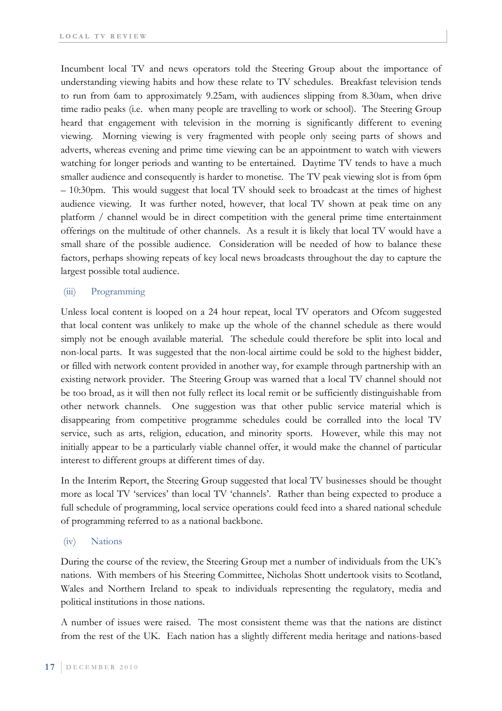Incumbent local TV and news operators told the Steering Group about the importance of understanding viewing habits and how these relate to TV schedules. Breakfast television tends to run from 6am to approximately 9.25am, with audiences slipping from 8.30am, when drive time radio peaks (i.e. when many people are travelling to work or school). The Steering Group heard that engagement with television in the morning is significantly different to evening viewing. Morning viewing is very fragmented with people only seeing parts of shows and adverts, whereas evening and prime time viewing can be an appointment to watch with viewers watching for longer periods and wanting to be entertained. Daytime TV tends to have a much smaller audience and consequently is harder to monetise. The TV peak viewing slot is from 6pm – 10:30pm. This would suggest that local TV should seek to broadcast at the times of highest audience viewing. It was further noted, however, that local TV shown at peak time on any platform / channel would be in direct competition with the general prime time entertainment offerings on the multitude of other channels. As a result it is likely that local TV would have a small share of the possible audience. Consideration will be needed of how to balance these factors, perhaps showing repeats of key local news broadcasts throughout the day to capture the largest possible total audience.

#### (iii) Programming

Unless local content is looped on a 24 hour repeat, local TV operators and Ofcom suggested that local content was unlikely to make up the whole of the channel schedule as there would simply not be enough available material. The schedule could therefore be split into local and non-local parts. It was suggested that the non-local airtime could be sold to the highest bidder, or filled with network content provided in another way, for example through partnership with an existing network provider. The Steering Group was warned that a local TV channel should not be too broad, as it will then not fully reflect its local remit or be sufficiently distinguishable from other network channels. One suggestion was that other public service material which is disappearing from competitive programme schedules could be corralled into the local TV service, such as arts, religion, education, and minority sports. However, while this may not initially appear to be a particularly viable channel offer, it would make the channel of particular interest to different groups at different times of day.

In the Interim Report, the Steering Group suggested that local TV businesses should be thought more as local TV 'services' than local TV 'channels'. Rather than being expected to produce a full schedule of programming, local service operations could feed into a shared national schedule of programming referred to as a national backbone.

#### (iv) Nations

During the course of the review, the Steering Group met a number of individuals from the UK's nations. With members of his Steering Committee, Nicholas Shott undertook visits to Scotland, Wales and Northern Ireland to speak to individuals representing the regulatory, media and political institutions in those nations.

A number of issues were raised. The most consistent theme was that the nations are distinct from the rest of the UK. Each nation has a slightly different media heritage and nations-based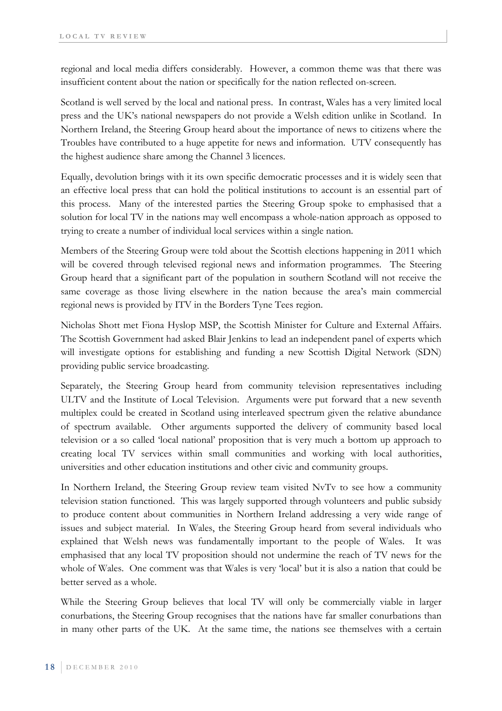regional and local media differs considerably. However, a common theme was that there was insufficient content about the nation or specifically for the nation reflected on-screen.

Scotland is well served by the local and national press. In contrast, Wales has a very limited local press and the UK's national newspapers do not provide a Welsh edition unlike in Scotland. In Northern Ireland, the Steering Group heard about the importance of news to citizens where the Troubles have contributed to a huge appetite for news and information. UTV consequently has the highest audience share among the Channel 3 licences.

Equally, devolution brings with it its own specific democratic processes and it is widely seen that an effective local press that can hold the political institutions to account is an essential part of this process. Many of the interested parties the Steering Group spoke to emphasised that a solution for local TV in the nations may well encompass a whole-nation approach as opposed to trying to create a number of individual local services within a single nation.

Members of the Steering Group were told about the Scottish elections happening in 2011 which will be covered through televised regional news and information programmes. The Steering Group heard that a significant part of the population in southern Scotland will not receive the same coverage as those living elsewhere in the nation because the area's main commercial regional news is provided by ITV in the Borders Tyne Tees region.

Nicholas Shott met Fiona Hyslop MSP, the Scottish Minister for Culture and External Affairs. The Scottish Government had asked Blair Jenkins to lead an independent panel of experts which will investigate options for establishing and funding a new Scottish Digital Network (SDN) providing public service broadcasting.

Separately, the Steering Group heard from community television representatives including ULTV and the Institute of Local Television. Arguments were put forward that a new seventh multiplex could be created in Scotland using interleaved spectrum given the relative abundance of spectrum available. Other arguments supported the delivery of community based local television or a so called 'local national' proposition that is very much a bottom up approach to creating local TV services within small communities and working with local authorities, universities and other education institutions and other civic and community groups.

In Northern Ireland, the Steering Group review team visited NvTv to see how a community television station functioned. This was largely supported through volunteers and public subsidy to produce content about communities in Northern Ireland addressing a very wide range of issues and subject material. In Wales, the Steering Group heard from several individuals who explained that Welsh news was fundamentally important to the people of Wales. It was emphasised that any local TV proposition should not undermine the reach of TV news for the whole of Wales. One comment was that Wales is very 'local' but it is also a nation that could be better served as a whole.

While the Steering Group believes that local TV will only be commercially viable in larger conurbations, the Steering Group recognises that the nations have far smaller conurbations than in many other parts of the UK. At the same time, the nations see themselves with a certain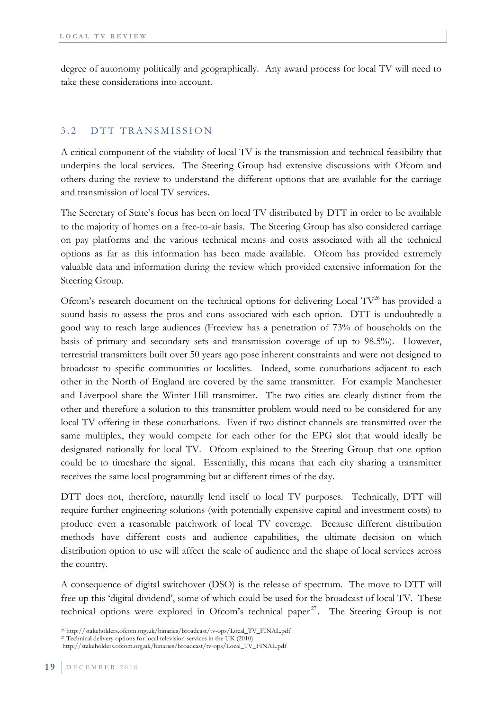degree of autonomy politically and geographically. Any award process for local TV will need to take these considerations into account.

#### 3.2 DTT TRANSMISSION

A critical component of the viability of local TV is the transmission and technical feasibility that underpins the local services. The Steering Group had extensive discussions with Ofcom and others during the review to understand the different options that are available for the carriage and transmission of local TV services.

The Secretary of State's focus has been on local TV distributed by DTT in order to be available to the majority of homes on a free-to-air basis. The Steering Group has also considered carriage on pay platforms and the various technical means and costs associated with all the technical options as far as this information has been made available. Ofcom has provided extremely valuable data and information during the review which provided extensive information for the Steering Group.

Ofcom's research document on the technical options for delivering Local  $TV^{26}$  has provided a sound basis to assess the pros and cons associated with each option. DTT is undoubtedly a good way to reach large audiences (Freeview has a penetration of 73% of households on the basis of primary and secondary sets and transmission coverage of up to 98.5%). However, terrestrial transmitters built over 50 years ago pose inherent constraints and were not designed to broadcast to specific communities or localities. Indeed, some conurbations adjacent to each other in the North of England are covered by the same transmitter. For example Manchester and Liverpool share the Winter Hill transmitter. The two cities are clearly distinct from the other and therefore a solution to this transmitter problem would need to be considered for any local TV offering in these conurbations. Even if two distinct channels are transmitted over the same multiplex, they would compete for each other for the EPG slot that would ideally be designated nationally for local TV. Ofcom explained to the Steering Group that one option could be to timeshare the signal. Essentially, this means that each city sharing a transmitter receives the same local programming but at different times of the day.

DTT does not, therefore, naturally lend itself to local TV purposes. Technically, DTT will require further engineering solutions (with potentially expensive capital and investment costs) to produce even a reasonable patchwork of local TV coverage. Because different distribution methods have different costs and audience capabilities, the ultimate decision on which distribution option to use will affect the scale of audience and the shape of local services across the country.

A consequence of digital switchover (DSO) is the release of spectrum. The move to DTT will free up this 'digital dividend', some of which could be used for the broadcast of local TV. These technical options were explored in Ofcom's technical paper<sup>27</sup>. The Steering Group is not

<sup>26</sup> http://stakeholders.ofcom.org.uk/binaries/broadcast/tv-ops/Local\_TV\_FINAL.pdf 27 Technical delivery options for local television services in the UK (2010)

http://stakeholders.ofcom.org.uk/binaries/broadcast/tv-ops/Local\_TV\_FINAL.pdf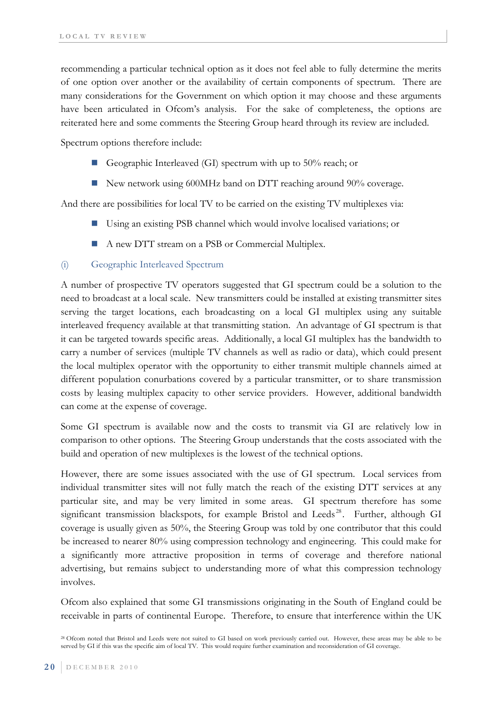recommending a particular technical option as it does not feel able to fully determine the merits of one option over another or the availability of certain components of spectrum. There are many considerations for the Government on which option it may choose and these arguments have been articulated in Ofcom's analysis. For the sake of completeness, the options are reiterated here and some comments the Steering Group heard through its review are included.

Spectrum options therefore include:

- Geographic Interleaved (GI) spectrum with up to 50% reach; or
- New network using 600MHz band on DTT reaching around 90% coverage.

And there are possibilities for local TV to be carried on the existing TV multiplexes via:

- Using an existing PSB channel which would involve localised variations; or
- A new DTT stream on a PSB or Commercial Multiplex.

### (i) Geographic Interleaved Spectrum

A number of prospective TV operators suggested that GI spectrum could be a solution to the need to broadcast at a local scale. New transmitters could be installed at existing transmitter sites serving the target locations, each broadcasting on a local GI multiplex using any suitable interleaved frequency available at that transmitting station. An advantage of GI spectrum is that it can be targeted towards specific areas. Additionally, a local GI multiplex has the bandwidth to carry a number of services (multiple TV channels as well as radio or data), which could present the local multiplex operator with the opportunity to either transmit multiple channels aimed at different population conurbations covered by a particular transmitter, or to share transmission costs by leasing multiplex capacity to other service providers. However, additional bandwidth can come at the expense of coverage.

Some GI spectrum is available now and the costs to transmit via GI are relatively low in comparison to other options. The Steering Group understands that the costs associated with the build and operation of new multiplexes is the lowest of the technical options.

However, there are some issues associated with the use of GI spectrum. Local services from individual transmitter sites will not fully match the reach of the existing DTT services at any particular site, and may be very limited in some areas. GI spectrum therefore has some significant transmission blackspots, for example Bristol and Leeds<sup>28</sup>. Further, although GI coverage is usually given as 50%, the Steering Group was told by one contributor that this could be increased to nearer 80% using compression technology and engineering. This could make for a significantly more attractive proposition in terms of coverage and therefore national advertising, but remains subject to understanding more of what this compression technology involves.

Ofcom also explained that some GI transmissions originating in the South of England could be receivable in parts of continental Europe. Therefore, to ensure that interference within the UK

<sup>28</sup> Ofcom noted that Bristol and Leeds were not suited to GI based on work previously carried out. However, these areas may be able to be served by GI if this was the specific aim of local TV. This would require further examination and reconsideration of GI coverage.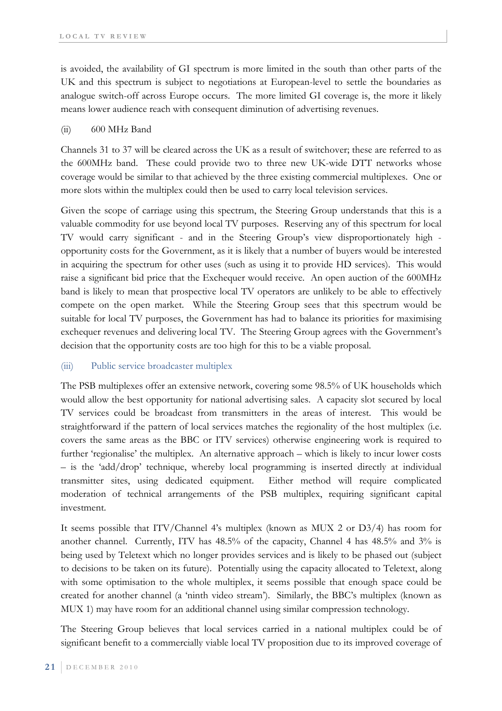is avoided, the availability of GI spectrum is more limited in the south than other parts of the UK and this spectrum is subject to negotiations at European-level to settle the boundaries as analogue switch-off across Europe occurs. The more limited GI coverage is, the more it likely means lower audience reach with consequent diminution of advertising revenues.

#### (ii) 600 MHz Band

Channels 31 to 37 will be cleared across the UK as a result of switchover; these are referred to as the 600MHz band. These could provide two to three new UK-wide DTT networks whose coverage would be similar to that achieved by the three existing commercial multiplexes. One or more slots within the multiplex could then be used to carry local television services.

Given the scope of carriage using this spectrum, the Steering Group understands that this is a valuable commodity for use beyond local TV purposes. Reserving any of this spectrum for local TV would carry significant - and in the Steering Group's view disproportionately high opportunity costs for the Government, as it is likely that a number of buyers would be interested in acquiring the spectrum for other uses (such as using it to provide HD services). This would raise a significant bid price that the Exchequer would receive. An open auction of the 600MHz band is likely to mean that prospective local TV operators are unlikely to be able to effectively compete on the open market. While the Steering Group sees that this spectrum would be suitable for local TV purposes, the Government has had to balance its priorities for maximising exchequer revenues and delivering local TV. The Steering Group agrees with the Government's decision that the opportunity costs are too high for this to be a viable proposal.

### (iii) Public service broadcaster multiplex

The PSB multiplexes offer an extensive network, covering some 98.5% of UK households which would allow the best opportunity for national advertising sales. A capacity slot secured by local TV services could be broadcast from transmitters in the areas of interest. This would be straightforward if the pattern of local services matches the regionality of the host multiplex (i.e. covers the same areas as the BBC or ITV services) otherwise engineering work is required to further 'regionalise' the multiplex. An alternative approach – which is likely to incur lower costs – is the 'add/drop' technique, whereby local programming is inserted directly at individual transmitter sites, using dedicated equipment. Either method will require complicated moderation of technical arrangements of the PSB multiplex, requiring significant capital investment.

It seems possible that ITV/Channel 4's multiplex (known as MUX 2 or D3/4) has room for another channel. Currently, ITV has 48.5% of the capacity, Channel 4 has 48.5% and 3% is being used by Teletext which no longer provides services and is likely to be phased out (subject to decisions to be taken on its future). Potentially using the capacity allocated to Teletext, along with some optimisation to the whole multiplex, it seems possible that enough space could be created for another channel (a 'ninth video stream'). Similarly, the BBC's multiplex (known as MUX 1) may have room for an additional channel using similar compression technology.

The Steering Group believes that local services carried in a national multiplex could be of significant benefit to a commercially viable local TV proposition due to its improved coverage of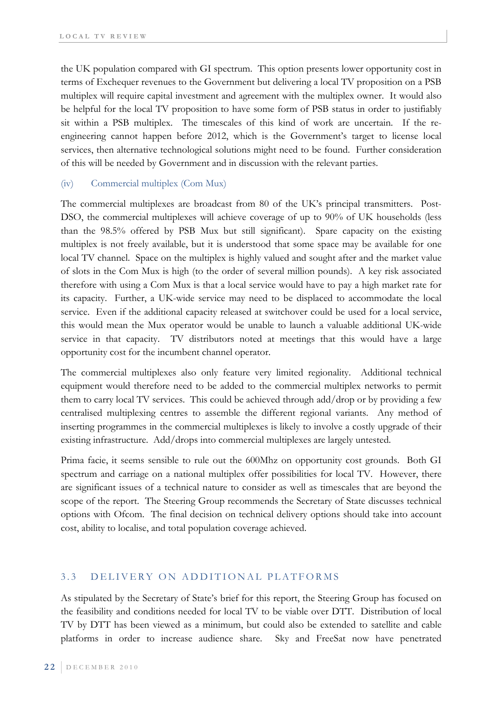the UK population compared with GI spectrum. This option presents lower opportunity cost in terms of Exchequer revenues to the Government but delivering a local TV proposition on a PSB multiplex will require capital investment and agreement with the multiplex owner. It would also be helpful for the local TV proposition to have some form of PSB status in order to justifiably sit within a PSB multiplex. The timescales of this kind of work are uncertain. If the reengineering cannot happen before 2012, which is the Government's target to license local services, then alternative technological solutions might need to be found. Further consideration of this will be needed by Government and in discussion with the relevant parties.

### (iv) Commercial multiplex (Com Mux)

The commercial multiplexes are broadcast from 80 of the UK's principal transmitters. Post-DSO, the commercial multiplexes will achieve coverage of up to 90% of UK households (less than the 98.5% offered by PSB Mux but still significant). Spare capacity on the existing multiplex is not freely available, but it is understood that some space may be available for one local TV channel. Space on the multiplex is highly valued and sought after and the market value of slots in the Com Mux is high (to the order of several million pounds). A key risk associated therefore with using a Com Mux is that a local service would have to pay a high market rate for its capacity. Further, a UK-wide service may need to be displaced to accommodate the local service. Even if the additional capacity released at switchover could be used for a local service, this would mean the Mux operator would be unable to launch a valuable additional UK-wide service in that capacity. TV distributors noted at meetings that this would have a large opportunity cost for the incumbent channel operator.

The commercial multiplexes also only feature very limited regionality. Additional technical equipment would therefore need to be added to the commercial multiplex networks to permit them to carry local TV services. This could be achieved through add/drop or by providing a few centralised multiplexing centres to assemble the different regional variants. Any method of inserting programmes in the commercial multiplexes is likely to involve a costly upgrade of their existing infrastructure. Add/drops into commercial multiplexes are largely untested.

Prima facie, it seems sensible to rule out the 600Mhz on opportunity cost grounds. Both GI spectrum and carriage on a national multiplex offer possibilities for local TV. However, there are significant issues of a technical nature to consider as well as timescales that are beyond the scope of the report. The Steering Group recommends the Secretary of State discusses technical options with Ofcom. The final decision on technical delivery options should take into account cost, ability to localise, and total population coverage achieved.

### 3.3 DELIVERY ON ADDITIONAL PLATFORMS

As stipulated by the Secretary of State's brief for this report, the Steering Group has focused on the feasibility and conditions needed for local TV to be viable over DTT. Distribution of local TV by DTT has been viewed as a minimum, but could also be extended to satellite and cable platforms in order to increase audience share. Sky and FreeSat now have penetrated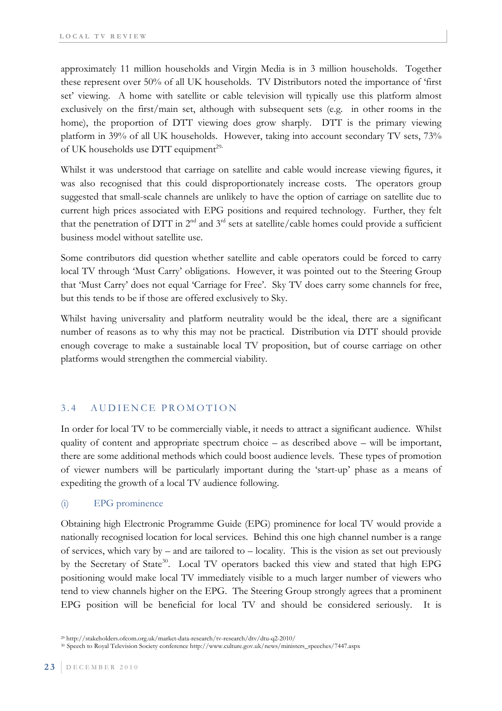approximately 11 million households and Virgin Media is in 3 million households. Together these represent over 50% of all UK households. TV Distributors noted the importance of 'first set' viewing. A home with satellite or cable television will typically use this platform almost exclusively on the first/main set, although with subsequent sets (e.g. in other rooms in the home), the proportion of DTT viewing does grow sharply. DTT is the primary viewing platform in 39% of all UK households. However, taking into account secondary TV sets, 73% of UK households use DTT equipment<sup>29.</sup>

Whilst it was understood that carriage on satellite and cable would increase viewing figures, it was also recognised that this could disproportionately increase costs. The operators group suggested that small-scale channels are unlikely to have the option of carriage on satellite due to current high prices associated with EPG positions and required technology. Further, they felt that the penetration of DTT in  $2<sup>nd</sup>$  and  $3<sup>rd</sup>$  sets at satellite/cable homes could provide a sufficient business model without satellite use.

Some contributors did question whether satellite and cable operators could be forced to carry local TV through 'Must Carry' obligations. However, it was pointed out to the Steering Group that 'Must Carry' does not equal 'Carriage for Free'. Sky TV does carry some channels for free, but this tends to be if those are offered exclusively to Sky.

Whilst having universality and platform neutrality would be the ideal, there are a significant number of reasons as to why this may not be practical. Distribution via DTT should provide enough coverage to make a sustainable local TV proposition, but of course carriage on other platforms would strengthen the commercial viability.

### 3.4 AUDIENCE PROMOTION

In order for local TV to be commercially viable, it needs to attract a significant audience. Whilst quality of content and appropriate spectrum choice – as described above – will be important, there are some additional methods which could boost audience levels. These types of promotion of viewer numbers will be particularly important during the 'start-up' phase as a means of expediting the growth of a local TV audience following.

### (i) EPG prominence

Obtaining high Electronic Programme Guide (EPG) prominence for local TV would provide a nationally recognised location for local services. Behind this one high channel number is a range of services, which vary by – and are tailored to – locality. This is the vision as set out previously by the Secretary of State<sup>30</sup>. Local TV operators backed this view and stated that high EPG positioning would make local TV immediately visible to a much larger number of viewers who tend to view channels higher on the EPG. The Steering Group strongly agrees that a prominent EPG position will be beneficial for local TV and should be considered seriously. It is

<sup>29</sup> http://stakeholders.ofcom.org.uk/market-data-research/tv-research/dtv/dtu-q2-2010/

<sup>30</sup> Speech to Royal Television Society conference http://www.culture.gov.uk/news/ministers\_speeches/7447.aspx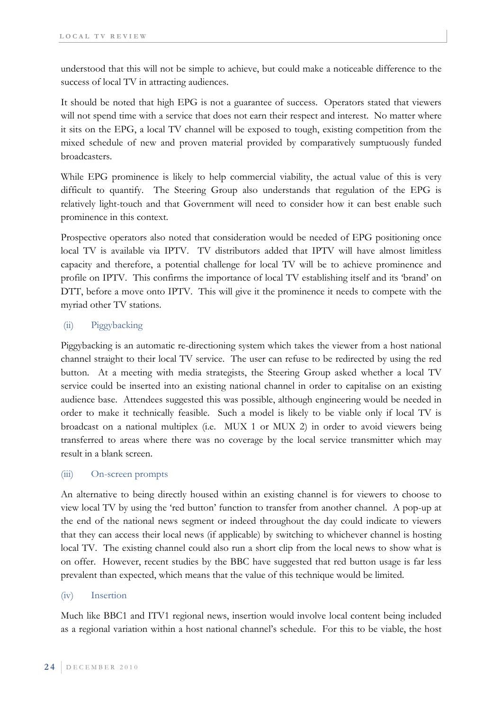understood that this will not be simple to achieve, but could make a noticeable difference to the success of local TV in attracting audiences.

It should be noted that high EPG is not a guarantee of success. Operators stated that viewers will not spend time with a service that does not earn their respect and interest. No matter where it sits on the EPG, a local TV channel will be exposed to tough, existing competition from the mixed schedule of new and proven material provided by comparatively sumptuously funded broadcasters.

While EPG prominence is likely to help commercial viability, the actual value of this is very difficult to quantify. The Steering Group also understands that regulation of the EPG is relatively light-touch and that Government will need to consider how it can best enable such prominence in this context.

Prospective operators also noted that consideration would be needed of EPG positioning once local TV is available via IPTV. TV distributors added that IPTV will have almost limitless capacity and therefore, a potential challenge for local TV will be to achieve prominence and profile on IPTV. This confirms the importance of local TV establishing itself and its 'brand' on DTT, before a move onto IPTV. This will give it the prominence it needs to compete with the myriad other TV stations.

## (ii) Piggybacking

Piggybacking is an automatic re-directioning system which takes the viewer from a host national channel straight to their local TV service. The user can refuse to be redirected by using the red button. At a meeting with media strategists, the Steering Group asked whether a local TV service could be inserted into an existing national channel in order to capitalise on an existing audience base. Attendees suggested this was possible, although engineering would be needed in order to make it technically feasible. Such a model is likely to be viable only if local TV is broadcast on a national multiplex (i.e. MUX 1 or MUX 2) in order to avoid viewers being transferred to areas where there was no coverage by the local service transmitter which may result in a blank screen.

### (iii) On-screen prompts

An alternative to being directly housed within an existing channel is for viewers to choose to view local TV by using the 'red button' function to transfer from another channel. A pop-up at the end of the national news segment or indeed throughout the day could indicate to viewers that they can access their local news (if applicable) by switching to whichever channel is hosting local TV. The existing channel could also run a short clip from the local news to show what is on offer. However, recent studies by the BBC have suggested that red button usage is far less prevalent than expected, which means that the value of this technique would be limited.

#### (iv) Insertion

Much like BBC1 and ITV1 regional news, insertion would involve local content being included as a regional variation within a host national channel's schedule. For this to be viable, the host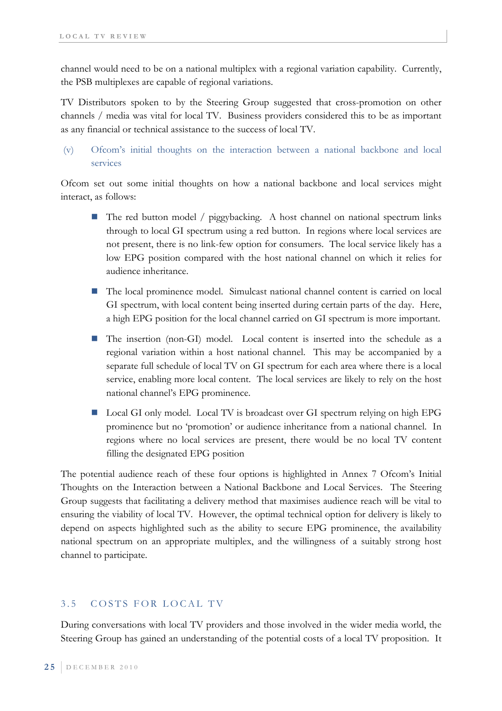channel would need to be on a national multiplex with a regional variation capability. Currently, the PSB multiplexes are capable of regional variations.

TV Distributors spoken to by the Steering Group suggested that cross-promotion on other channels / media was vital for local TV. Business providers considered this to be as important as any financial or technical assistance to the success of local TV.

 (v) Ofcom's initial thoughts on the interaction between a national backbone and local services

Ofcom set out some initial thoughts on how a national backbone and local services might interact, as follows:

- $\blacksquare$  The red button model / piggybacking. A host channel on national spectrum links through to local GI spectrum using a red button. In regions where local services are not present, there is no link-few option for consumers. The local service likely has a low EPG position compared with the host national channel on which it relies for audience inheritance.
- The local prominence model. Simulcast national channel content is carried on local GI spectrum, with local content being inserted during certain parts of the day. Here, a high EPG position for the local channel carried on GI spectrum is more important.
- The insertion (non-GI) model. Local content is inserted into the schedule as a regional variation within a host national channel. This may be accompanied by a separate full schedule of local TV on GI spectrum for each area where there is a local service, enabling more local content. The local services are likely to rely on the host national channel's EPG prominence.
- Local GI only model. Local TV is broadcast over GI spectrum relying on high EPG prominence but no 'promotion' or audience inheritance from a national channel. In regions where no local services are present, there would be no local TV content filling the designated EPG position

The potential audience reach of these four options is highlighted in Annex 7 Ofcom's Initial Thoughts on the Interaction between a National Backbone and Local Services. The Steering Group suggests that facilitating a delivery method that maximises audience reach will be vital to ensuring the viability of local TV. However, the optimal technical option for delivery is likely to depend on aspects highlighted such as the ability to secure EPG prominence, the availability national spectrum on an appropriate multiplex, and the willingness of a suitably strong host channel to participate.

## 3.5 COSTS FOR LOCAL TV

During conversations with local TV providers and those involved in the wider media world, the Steering Group has gained an understanding of the potential costs of a local TV proposition. It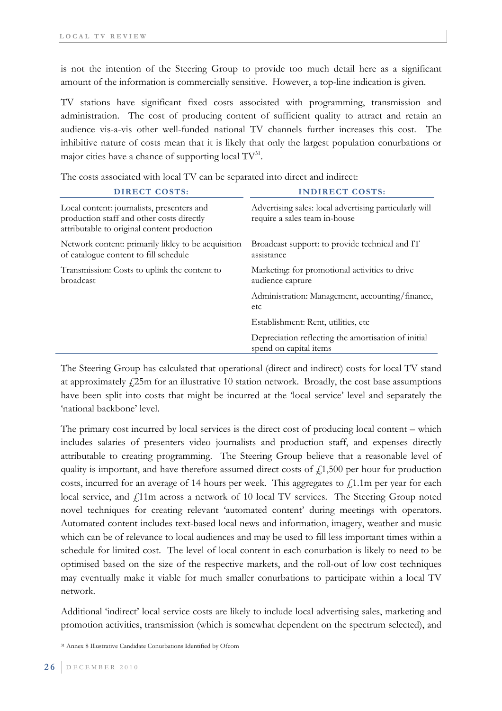is not the intention of the Steering Group to provide too much detail here as a significant amount of the information is commercially sensitive. However, a top-line indication is given.

TV stations have significant fixed costs associated with programming, transmission and administration. The cost of producing content of sufficient quality to attract and retain an audience vis-a-vis other well-funded national TV channels further increases this cost. The inhibitive nature of costs mean that it is likely that only the largest population conurbations or major cities have a chance of supporting local  $TV^{31}$ .

The costs associated with local TV can be separated into direct and indirect:

| <b>DIRECT COSTS:</b>                                                                                                                   | <b>INDIRECT COSTS:</b>                                                                  |
|----------------------------------------------------------------------------------------------------------------------------------------|-----------------------------------------------------------------------------------------|
| Local content: journalists, presenters and<br>production staff and other costs directly<br>attributable to original content production | Advertising sales: local advertising particularly will<br>require a sales team in-house |
| Network content: primarily likley to be acquisition<br>of catalogue content to fill schedule                                           | Broadcast support: to provide technical and IT<br>assistance                            |
| Transmission: Costs to uplink the content to<br>broadcast                                                                              | Marketing: for promotional activities to drive<br>audience capture                      |
|                                                                                                                                        | Administration: Management, accounting/finance,<br>etc                                  |
|                                                                                                                                        | Establishment: Rent, utilities, etc.                                                    |
|                                                                                                                                        | Depreciation reflecting the amortisation of initial<br>spend on capital items           |

The Steering Group has calculated that operational (direct and indirect) costs for local TV stand at approximately  $\frac{1}{25m}$  for an illustrative 10 station network. Broadly, the cost base assumptions have been split into costs that might be incurred at the 'local service' level and separately the 'national backbone' level.

The primary cost incurred by local services is the direct cost of producing local content – which includes salaries of presenters video journalists and production staff, and expenses directly attributable to creating programming. The Steering Group believe that a reasonable level of quality is important, and have therefore assumed direct costs of  $f(1,500)$  per hour for production costs, incurred for an average of 14 hours per week. This aggregates to  $\text{\emph{f}}1.1\text{m}$  per year for each local service, and  $\ell$ 11m across a network of 10 local TV services. The Steering Group noted novel techniques for creating relevant 'automated content' during meetings with operators. Automated content includes text-based local news and information, imagery, weather and music which can be of relevance to local audiences and may be used to fill less important times within a schedule for limited cost. The level of local content in each conurbation is likely to need to be optimised based on the size of the respective markets, and the roll-out of low cost techniques may eventually make it viable for much smaller conurbations to participate within a local TV network.

Additional 'indirect' local service costs are likely to include local advertising sales, marketing and promotion activities, transmission (which is somewhat dependent on the spectrum selected), and

31 Annex 8 Illustrative Candidate Conurbations Identified by Ofcom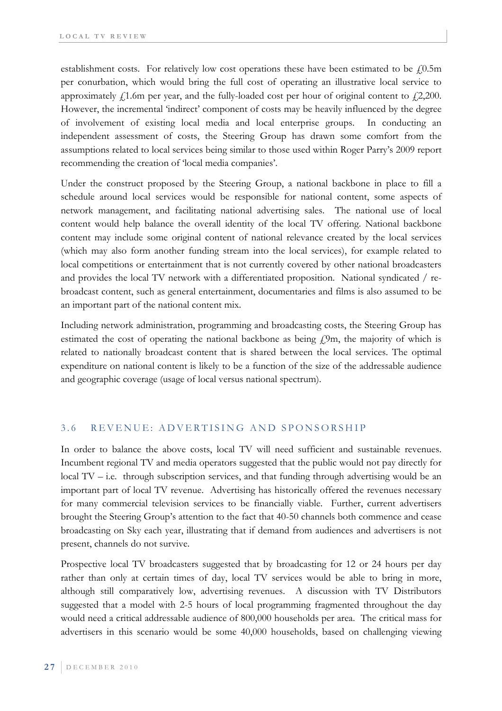establishment costs. For relatively low cost operations these have been estimated to be  $f(0.5m)$ per conurbation, which would bring the full cost of operating an illustrative local service to approximately  $\dot{f}$ 1.6m per year, and the fully-loaded cost per hour of original content to  $\dot{f}$ 2,200. However, the incremental 'indirect' component of costs may be heavily influenced by the degree of involvement of existing local media and local enterprise groups. In conducting an independent assessment of costs, the Steering Group has drawn some comfort from the assumptions related to local services being similar to those used within Roger Parry's 2009 report recommending the creation of 'local media companies'.

Under the construct proposed by the Steering Group, a national backbone in place to fill a schedule around local services would be responsible for national content, some aspects of network management, and facilitating national advertising sales. The national use of local content would help balance the overall identity of the local TV offering. National backbone content may include some original content of national relevance created by the local services (which may also form another funding stream into the local services), for example related to local competitions or entertainment that is not currently covered by other national broadcasters and provides the local TV network with a differentiated proposition. National syndicated / rebroadcast content, such as general entertainment, documentaries and films is also assumed to be an important part of the national content mix.

Including network administration, programming and broadcasting costs, the Steering Group has estimated the cost of operating the national backbone as being  $f<sub>i</sub>$ 9m, the majority of which is related to nationally broadcast content that is shared between the local services. The optimal expenditure on national content is likely to be a function of the size of the addressable audience and geographic coverage (usage of local versus national spectrum).

### 3.6 REVENUE: ADVERTISING AND SPONSORSHIP

In order to balance the above costs, local TV will need sufficient and sustainable revenues. Incumbent regional TV and media operators suggested that the public would not pay directly for local TV – i.e. through subscription services, and that funding through advertising would be an important part of local TV revenue. Advertising has historically offered the revenues necessary for many commercial television services to be financially viable. Further, current advertisers brought the Steering Group's attention to the fact that 40-50 channels both commence and cease broadcasting on Sky each year, illustrating that if demand from audiences and advertisers is not present, channels do not survive.

Prospective local TV broadcasters suggested that by broadcasting for 12 or 24 hours per day rather than only at certain times of day, local TV services would be able to bring in more, although still comparatively low, advertising revenues. A discussion with TV Distributors suggested that a model with 2-5 hours of local programming fragmented throughout the day would need a critical addressable audience of 800,000 households per area. The critical mass for advertisers in this scenario would be some 40,000 households, based on challenging viewing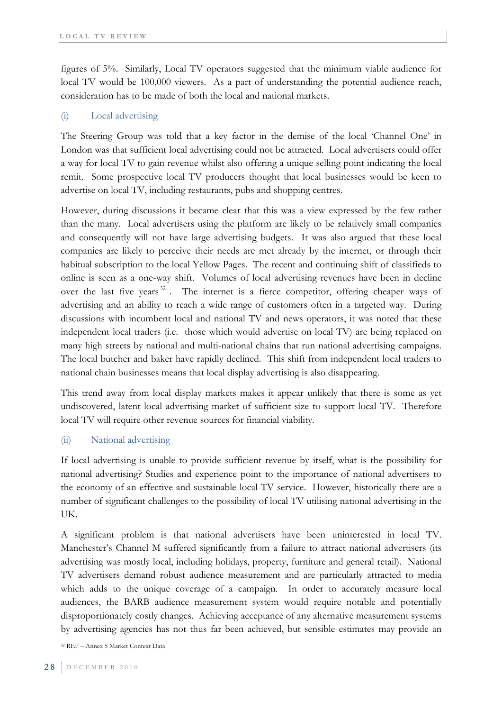figures of 5%. Similarly, Local TV operators suggested that the minimum viable audience for local TV would be 100,000 viewers. As a part of understanding the potential audience reach, consideration has to be made of both the local and national markets.

### (i) Local advertising

The Steering Group was told that a key factor in the demise of the local 'Channel One' in London was that sufficient local advertising could not be attracted. Local advertisers could offer a way for local TV to gain revenue whilst also offering a unique selling point indicating the local remit. Some prospective local TV producers thought that local businesses would be keen to advertise on local TV, including restaurants, pubs and shopping centres.

However, during discussions it became clear that this was a view expressed by the few rather than the many. Local advertisers using the platform are likely to be relatively small companies and consequently will not have large advertising budgets. It was also argued that these local companies are likely to perceive their needs are met already by the internet, or through their habitual subscription to the local Yellow Pages. The recent and continuing shift of classifieds to online is seen as a one-way shift. Volumes of local advertising revenues have been in decline over the last five years  $32$ . The internet is a fierce competitor, offering cheaper ways of advertising and an ability to reach a wide range of customers often in a targeted way. During discussions with incumbent local and national TV and news operators, it was noted that these independent local traders (i.e. those which would advertise on local TV) are being replaced on many high streets by national and multi-national chains that run national advertising campaigns. The local butcher and baker have rapidly declined. This shift from independent local traders to national chain businesses means that local display advertising is also disappearing.

This trend away from local display markets makes it appear unlikely that there is some as yet undiscovered, latent local advertising market of sufficient size to support local TV. Therefore local TV will require other revenue sources for financial viability.

### (ii) National advertising

If local advertising is unable to provide sufficient revenue by itself, what is the possibility for national advertising? Studies and experience point to the importance of national advertisers to the economy of an effective and sustainable local TV service. However, historically there are a number of significant challenges to the possibility of local TV utilising national advertising in the UK.

A significant problem is that national advertisers have been uninterested in local TV. Manchester's Channel M suffered significantly from a failure to attract national advertisers (its advertising was mostly local, including holidays, property, furniture and general retail). National TV advertisers demand robust audience measurement and are particularly attracted to media which adds to the unique coverage of a campaign. In order to accurately measure local audiences, the BARB audience measurement system would require notable and potentially disproportionately costly changes. Achieving acceptance of any alternative measurement systems by advertising agencies has not thus far been achieved, but sensible estimates may provide an

32 REF – Annex 5 Market Context Data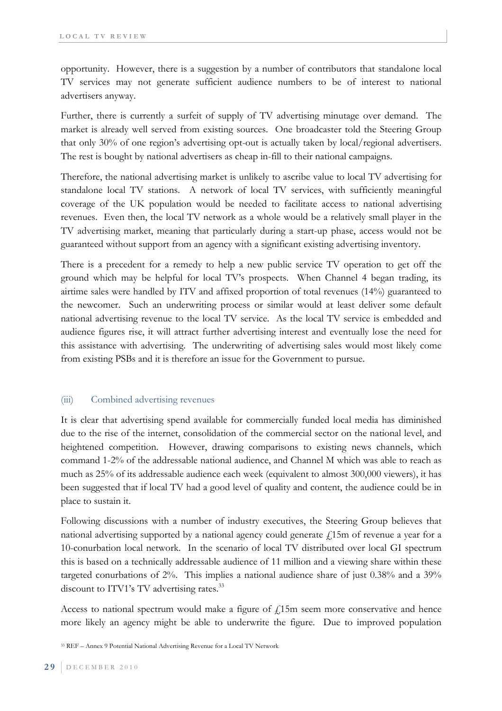opportunity. However, there is a suggestion by a number of contributors that standalone local TV services may not generate sufficient audience numbers to be of interest to national advertisers anyway.

Further, there is currently a surfeit of supply of TV advertising minutage over demand. The market is already well served from existing sources. One broadcaster told the Steering Group that only 30% of one region's advertising opt-out is actually taken by local/regional advertisers. The rest is bought by national advertisers as cheap in-fill to their national campaigns.

Therefore, the national advertising market is unlikely to ascribe value to local TV advertising for standalone local TV stations. A network of local TV services, with sufficiently meaningful coverage of the UK population would be needed to facilitate access to national advertising revenues. Even then, the local TV network as a whole would be a relatively small player in the TV advertising market, meaning that particularly during a start-up phase, access would not be guaranteed without support from an agency with a significant existing advertising inventory.

There is a precedent for a remedy to help a new public service TV operation to get off the ground which may be helpful for local TV's prospects. When Channel 4 began trading, its airtime sales were handled by ITV and affixed proportion of total revenues (14%) guaranteed to the newcomer. Such an underwriting process or similar would at least deliver some default national advertising revenue to the local TV service. As the local TV service is embedded and audience figures rise, it will attract further advertising interest and eventually lose the need for this assistance with advertising. The underwriting of advertising sales would most likely come from existing PSBs and it is therefore an issue for the Government to pursue.

### (iii) Combined advertising revenues

It is clear that advertising spend available for commercially funded local media has diminished due to the rise of the internet, consolidation of the commercial sector on the national level, and heightened competition. However, drawing comparisons to existing news channels, which command 1-2% of the addressable national audience, and Channel M which was able to reach as much as 25% of its addressable audience each week (equivalent to almost 300,000 viewers), it has been suggested that if local TV had a good level of quality and content, the audience could be in place to sustain it.

Following discussions with a number of industry executives, the Steering Group believes that national advertising supported by a national agency could generate  $\ell$ 15m of revenue a year for a 10-conurbation local network. In the scenario of local TV distributed over local GI spectrum this is based on a technically addressable audience of 11 million and a viewing share within these targeted conurbations of 2%. This implies a national audience share of just 0.38% and a 39% discount to ITV1's TV advertising rates.<sup>33</sup>

Access to national spectrum would make a figure of  $f<sub>i</sub>15$ m seem more conservative and hence more likely an agency might be able to underwrite the figure. Due to improved population

33 REF – Annex 9 Potential National Advertising Revenue for a Local TV Network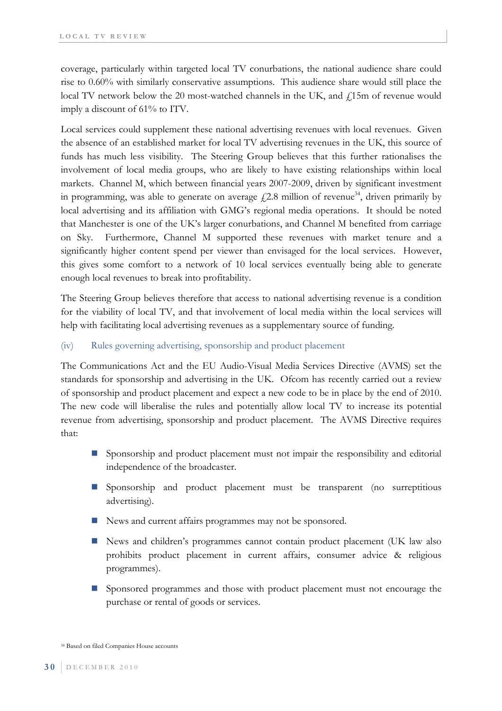coverage, particularly within targeted local TV conurbations, the national audience share could rise to 0.60% with similarly conservative assumptions. This audience share would still place the local TV network below the 20 most-watched channels in the UK, and  $\frac{1}{2}$ 15m of revenue would imply a discount of 61% to ITV.

Local services could supplement these national advertising revenues with local revenues. Given the absence of an established market for local TV advertising revenues in the UK, this source of funds has much less visibility. The Steering Group believes that this further rationalises the involvement of local media groups, who are likely to have existing relationships within local markets. Channel M, which between financial years 2007-2009, driven by significant investment in programming, was able to generate on average  $f(2.8 \text{ million of revenue}^{34})$ , driven primarily by local advertising and its affiliation with GMG's regional media operations. It should be noted that Manchester is one of the UK's larger conurbations, and Channel M benefited from carriage on Sky. Furthermore, Channel M supported these revenues with market tenure and a significantly higher content spend per viewer than envisaged for the local services. However, this gives some comfort to a network of 10 local services eventually being able to generate enough local revenues to break into profitability.

The Steering Group believes therefore that access to national advertising revenue is a condition for the viability of local TV, and that involvement of local media within the local services will help with facilitating local advertising revenues as a supplementary source of funding.

### (iv) Rules governing advertising, sponsorship and product placement

The Communications Act and the EU Audio-Visual Media Services Directive (AVMS) set the standards for sponsorship and advertising in the UK. Ofcom has recently carried out a review of sponsorship and product placement and expect a new code to be in place by the end of 2010. The new code will liberalise the rules and potentially allow local TV to increase its potential revenue from advertising, sponsorship and product placement. The AVMS Directive requires that:

- Sponsorship and product placement must not impair the responsibility and editorial independence of the broadcaster.
- Sponsorship and product placement must be transparent (no surreptitious advertising).
- News and current affairs programmes may not be sponsored.
- News and children's programmes cannot contain product placement (UK law also prohibits product placement in current affairs, consumer advice & religious programmes).
- Sponsored programmes and those with product placement must not encourage the purchase or rental of goods or services.

<sup>34</sup> Based on filed Companies House accounts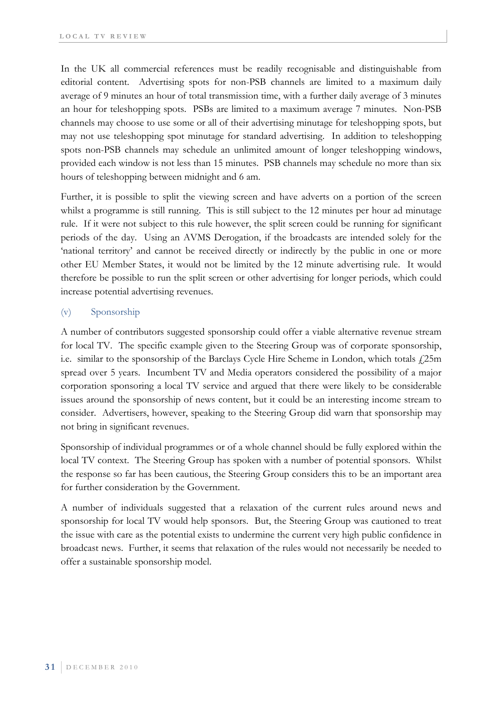In the UK all commercial references must be readily recognisable and distinguishable from editorial content. Advertising spots for non-PSB channels are limited to a maximum daily average of 9 minutes an hour of total transmission time, with a further daily average of 3 minutes an hour for teleshopping spots. PSBs are limited to a maximum average 7 minutes. Non-PSB channels may choose to use some or all of their advertising minutage for teleshopping spots, but may not use teleshopping spot minutage for standard advertising. In addition to teleshopping spots non-PSB channels may schedule an unlimited amount of longer teleshopping windows, provided each window is not less than 15 minutes. PSB channels may schedule no more than six hours of teleshopping between midnight and 6 am.

Further, it is possible to split the viewing screen and have adverts on a portion of the screen whilst a programme is still running. This is still subject to the 12 minutes per hour ad minutage rule. If it were not subject to this rule however, the split screen could be running for significant periods of the day. Using an AVMS Derogation, if the broadcasts are intended solely for the 'national territory' and cannot be received directly or indirectly by the public in one or more other EU Member States, it would not be limited by the 12 minute advertising rule. It would therefore be possible to run the split screen or other advertising for longer periods, which could increase potential advertising revenues.

### (v) Sponsorship

A number of contributors suggested sponsorship could offer a viable alternative revenue stream for local TV. The specific example given to the Steering Group was of corporate sponsorship, i.e. similar to the sponsorship of the Barclays Cycle Hire Scheme in London, which totals  $\ell$ 25m spread over 5 years. Incumbent TV and Media operators considered the possibility of a major corporation sponsoring a local TV service and argued that there were likely to be considerable issues around the sponsorship of news content, but it could be an interesting income stream to consider. Advertisers, however, speaking to the Steering Group did warn that sponsorship may not bring in significant revenues.

Sponsorship of individual programmes or of a whole channel should be fully explored within the local TV context. The Steering Group has spoken with a number of potential sponsors. Whilst the response so far has been cautious, the Steering Group considers this to be an important area for further consideration by the Government.

A number of individuals suggested that a relaxation of the current rules around news and sponsorship for local TV would help sponsors. But, the Steering Group was cautioned to treat the issue with care as the potential exists to undermine the current very high public confidence in broadcast news. Further, it seems that relaxation of the rules would not necessarily be needed to offer a sustainable sponsorship model.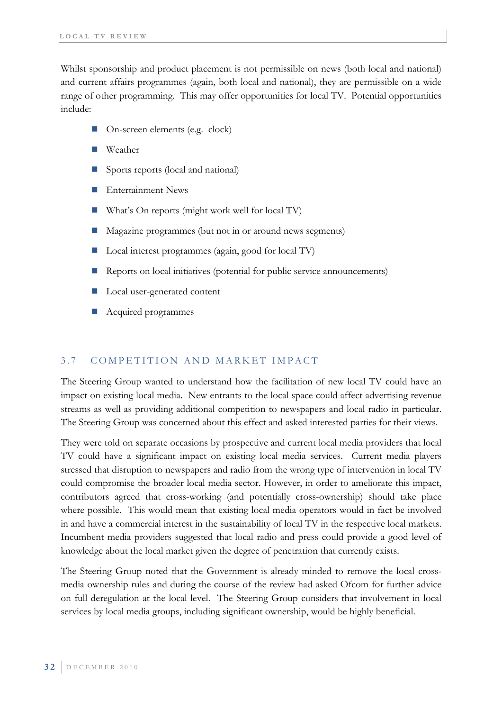Whilst sponsorship and product placement is not permissible on news (both local and national) and current affairs programmes (again, both local and national), they are permissible on a wide range of other programming. This may offer opportunities for local TV. Potential opportunities include:

- On-screen elements (e.g. clock)
- Weather
- Sports reports (local and national)
- Entertainment News
- What's On reports (might work well for local TV)
- Magazine programmes (but not in or around news segments)
- Local interest programmes (again, good for local TV)
- Reports on local initiatives (potential for public service announcements)
- Local user-generated content
- Acquired programmes

## 3.7 COMPETITION AND MARKET IMPACT

The Steering Group wanted to understand how the facilitation of new local TV could have an impact on existing local media. New entrants to the local space could affect advertising revenue streams as well as providing additional competition to newspapers and local radio in particular. The Steering Group was concerned about this effect and asked interested parties for their views.

They were told on separate occasions by prospective and current local media providers that local TV could have a significant impact on existing local media services. Current media players stressed that disruption to newspapers and radio from the wrong type of intervention in local TV could compromise the broader local media sector. However, in order to ameliorate this impact, contributors agreed that cross-working (and potentially cross-ownership) should take place where possible. This would mean that existing local media operators would in fact be involved in and have a commercial interest in the sustainability of local TV in the respective local markets. Incumbent media providers suggested that local radio and press could provide a good level of knowledge about the local market given the degree of penetration that currently exists.

The Steering Group noted that the Government is already minded to remove the local crossmedia ownership rules and during the course of the review had asked Ofcom for further advice on full deregulation at the local level. The Steering Group considers that involvement in local services by local media groups, including significant ownership, would be highly beneficial.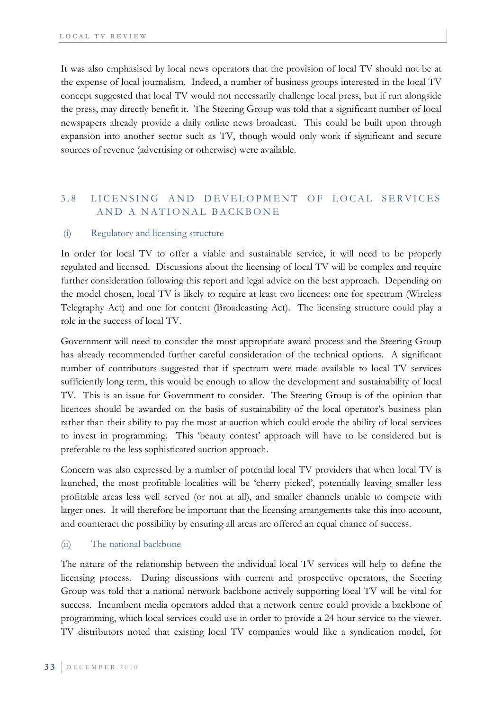It was also emphasised by local news operators that the provision of local TV should not be at the expense of local journalism. Indeed, a number of business groups interested in the local TV concept suggested that local TV would not necessarily challenge local press, but if run alongside the press, may directly benefit it. The Steering Group was told that a significant number of local newspapers already provide a daily online news broadcast. This could be built upon through expansion into another sector such as TV, though would only work if significant and secure sources of revenue (advertising or otherwise) were available.

## 3.8 LICENSING AND DEVELOPMENT OF LOCAL SERVICES AND A NATIONAL BACKBONE

#### (i) Regulatory and licensing structure

In order for local TV to offer a viable and sustainable service, it will need to be properly regulated and licensed. Discussions about the licensing of local TV will be complex and require further consideration following this report and legal advice on the best approach. Depending on the model chosen, local TV is likely to require at least two licences: one for spectrum (Wireless Telegraphy Act) and one for content (Broadcasting Act). The licensing structure could play a role in the success of local TV.

Government will need to consider the most appropriate award process and the Steering Group has already recommended further careful consideration of the technical options. A significant number of contributors suggested that if spectrum were made available to local TV services sufficiently long term, this would be enough to allow the development and sustainability of local TV. This is an issue for Government to consider. The Steering Group is of the opinion that licences should be awarded on the basis of sustainability of the local operator's business plan rather than their ability to pay the most at auction which could erode the ability of local services to invest in programming. This 'beauty contest' approach will have to be considered but is preferable to the less sophisticated auction approach.

Concern was also expressed by a number of potential local TV providers that when local TV is launched, the most profitable localities will be 'cherry picked', potentially leaving smaller less profitable areas less well served (or not at all), and smaller channels unable to compete with larger ones. It will therefore be important that the licensing arrangements take this into account, and counteract the possibility by ensuring all areas are offered an equal chance of success.

#### (ii) The national backbone

The nature of the relationship between the individual local TV services will help to define the licensing process. During discussions with current and prospective operators, the Steering Group was told that a national network backbone actively supporting local TV will be vital for success. Incumbent media operators added that a network centre could provide a backbone of programming, which local services could use in order to provide a 24 hour service to the viewer. TV distributors noted that existing local TV companies would like a syndication model, for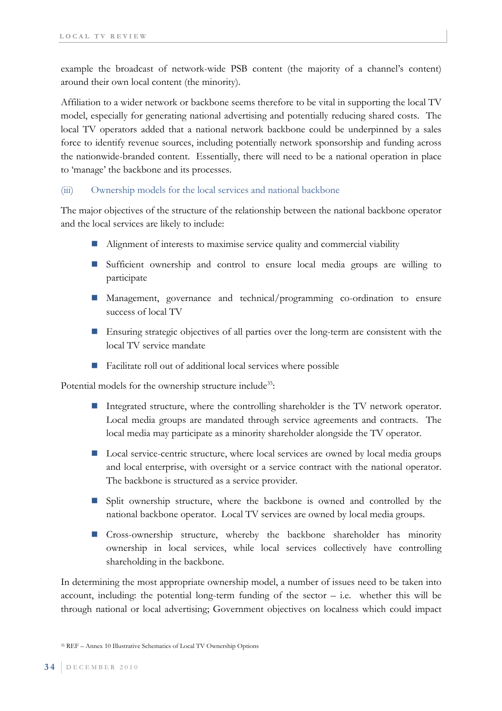example the broadcast of network-wide PSB content (the majority of a channel's content) around their own local content (the minority).

Affiliation to a wider network or backbone seems therefore to be vital in supporting the local TV model, especially for generating national advertising and potentially reducing shared costs. The local TV operators added that a national network backbone could be underpinned by a sales force to identify revenue sources, including potentially network sponsorship and funding across the nationwide-branded content. Essentially, there will need to be a national operation in place to 'manage' the backbone and its processes.

#### (iii) Ownership models for the local services and national backbone

The major objectives of the structure of the relationship between the national backbone operator and the local services are likely to include:

- Alignment of interests to maximise service quality and commercial viability
- Sufficient ownership and control to ensure local media groups are willing to participate
- Management, governance and technical/programming co-ordination to ensure success of local TV
- Ensuring strategic objectives of all parties over the long-term are consistent with the local TV service mandate
- Facilitate roll out of additional local services where possible

Potential models for the ownership structure include<sup>35</sup>:

- Integrated structure, where the controlling shareholder is the TV network operator. Local media groups are mandated through service agreements and contracts. The local media may participate as a minority shareholder alongside the TV operator.
- Local service-centric structure, where local services are owned by local media groups and local enterprise, with oversight or a service contract with the national operator. The backbone is structured as a service provider.
- **Split ownership structure, where the backbone is owned and controlled by the** national backbone operator. Local TV services are owned by local media groups.
- Cross-ownership structure, whereby the backbone shareholder has minority ownership in local services, while local services collectively have controlling shareholding in the backbone.

In determining the most appropriate ownership model, a number of issues need to be taken into account, including: the potential long-term funding of the sector  $-$  i.e. whether this will be through national or local advertising; Government objectives on localness which could impact

35 REF – Annex 10 Illustrative Schematics of Local TV Ownership Options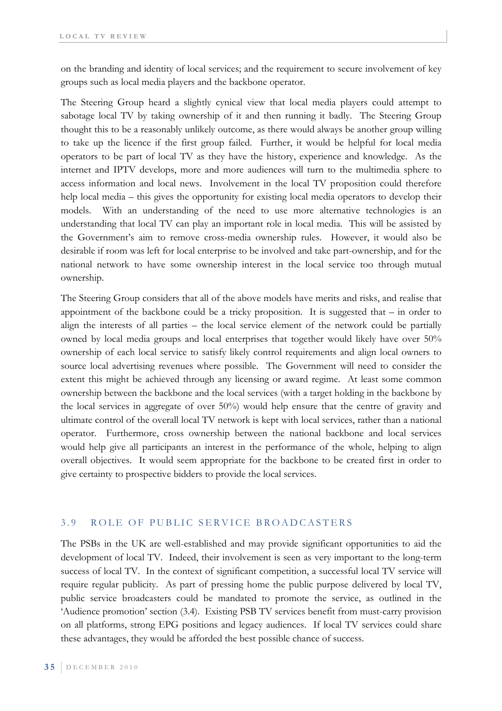on the branding and identity of local services; and the requirement to secure involvement of key groups such as local media players and the backbone operator.

The Steering Group heard a slightly cynical view that local media players could attempt to sabotage local TV by taking ownership of it and then running it badly. The Steering Group thought this to be a reasonably unlikely outcome, as there would always be another group willing to take up the licence if the first group failed. Further, it would be helpful for local media operators to be part of local TV as they have the history, experience and knowledge. As the internet and IPTV develops, more and more audiences will turn to the multimedia sphere to access information and local news. Involvement in the local TV proposition could therefore help local media – this gives the opportunity for existing local media operators to develop their models. With an understanding of the need to use more alternative technologies is an understanding that local TV can play an important role in local media. This will be assisted by the Government's aim to remove cross-media ownership rules. However, it would also be desirable if room was left for local enterprise to be involved and take part-ownership, and for the national network to have some ownership interest in the local service too through mutual ownership.

The Steering Group considers that all of the above models have merits and risks, and realise that appointment of the backbone could be a tricky proposition. It is suggested that – in order to align the interests of all parties – the local service element of the network could be partially owned by local media groups and local enterprises that together would likely have over 50% ownership of each local service to satisfy likely control requirements and align local owners to source local advertising revenues where possible. The Government will need to consider the extent this might be achieved through any licensing or award regime. At least some common ownership between the backbone and the local services (with a target holding in the backbone by the local services in aggregate of over 50%) would help ensure that the centre of gravity and ultimate control of the overall local TV network is kept with local services, rather than a national operator. Furthermore, cross ownership between the national backbone and local services would help give all participants an interest in the performance of the whole, helping to align overall objectives. It would seem appropriate for the backbone to be created first in order to give certainty to prospective bidders to provide the local services.

#### 3.9 ROLE OF PUBLIC SERVICE BROADCASTERS

The PSBs in the UK are well-established and may provide significant opportunities to aid the development of local TV. Indeed, their involvement is seen as very important to the long-term success of local TV. In the context of significant competition, a successful local TV service will require regular publicity. As part of pressing home the public purpose delivered by local TV, public service broadcasters could be mandated to promote the service, as outlined in the 'Audience promotion' section (3.4). Existing PSB TV services benefit from must-carry provision on all platforms, strong EPG positions and legacy audiences. If local TV services could share these advantages, they would be afforded the best possible chance of success.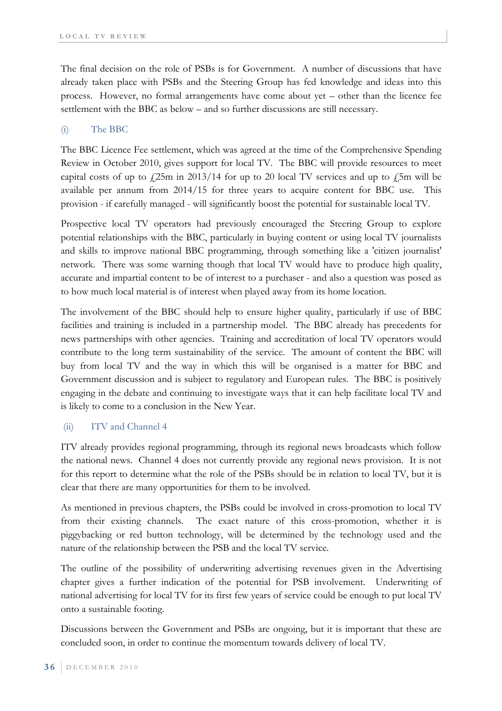The final decision on the role of PSBs is for Government. A number of discussions that have already taken place with PSBs and the Steering Group has fed knowledge and ideas into this process. However, no formal arrangements have come about yet – other than the licence fee settlement with the BBC as below – and so further discussions are still necessary.

### (i) The BBC

The BBC Licence Fee settlement, which was agreed at the time of the Comprehensive Spending Review in October 2010, gives support for local TV. The BBC will provide resources to meet capital costs of up to  $\frac{25}{m}$  in 2013/14 for up to 20 local TV services and up to  $\frac{5}{m}$  will be available per annum from 2014/15 for three years to acquire content for BBC use. This provision - if carefully managed - will significantly boost the potential for sustainable local TV.

Prospective local TV operators had previously encouraged the Steering Group to explore potential relationships with the BBC, particularly in buying content or using local TV journalists and skills to improve national BBC programming, through something like a 'citizen journalist' network. There was some warning though that local TV would have to produce high quality, accurate and impartial content to be of interest to a purchaser - and also a question was posed as to how much local material is of interest when played away from its home location.

The involvement of the BBC should help to ensure higher quality, particularly if use of BBC facilities and training is included in a partnership model. The BBC already has precedents for news partnerships with other agencies. Training and accreditation of local TV operators would contribute to the long term sustainability of the service. The amount of content the BBC will buy from local TV and the way in which this will be organised is a matter for BBC and Government discussion and is subject to regulatory and European rules. The BBC is positively engaging in the debate and continuing to investigate ways that it can help facilitate local TV and is likely to come to a conclusion in the New Year.

### (ii) ITV and Channel 4

ITV already provides regional programming, through its regional news broadcasts which follow the national news. Channel 4 does not currently provide any regional news provision. It is not for this report to determine what the role of the PSBs should be in relation to local TV, but it is clear that there are many opportunities for them to be involved.

As mentioned in previous chapters, the PSBs could be involved in cross-promotion to local TV from their existing channels. The exact nature of this cross-promotion, whether it is piggybacking or red button technology, will be determined by the technology used and the nature of the relationship between the PSB and the local TV service.

The outline of the possibility of underwriting advertising revenues given in the Advertising chapter gives a further indication of the potential for PSB involvement. Underwriting of national advertising for local TV for its first few years of service could be enough to put local TV onto a sustainable footing.

Discussions between the Government and PSBs are ongoing, but it is important that these are concluded soon, in order to continue the momentum towards delivery of local TV.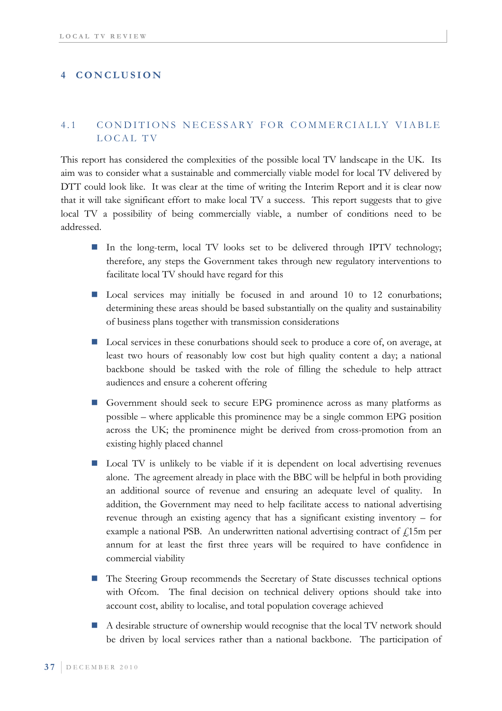### **4 CONCLUSION**

### 4.1 CONDITIONS NECESSARY FOR COMMERCIALLY VIABLE LOCAL TV

This report has considered the complexities of the possible local TV landscape in the UK. Its aim was to consider what a sustainable and commercially viable model for local TV delivered by DTT could look like. It was clear at the time of writing the Interim Report and it is clear now that it will take significant effort to make local TV a success. This report suggests that to give local TV a possibility of being commercially viable, a number of conditions need to be addressed.

- In the long-term, local TV looks set to be delivered through IPTV technology; therefore, any steps the Government takes through new regulatory interventions to facilitate local TV should have regard for this
- Local services may initially be focused in and around 10 to 12 conurbations; determining these areas should be based substantially on the quality and sustainability of business plans together with transmission considerations
- Local services in these conurbations should seek to produce a core of, on average, at least two hours of reasonably low cost but high quality content a day; a national backbone should be tasked with the role of filling the schedule to help attract audiences and ensure a coherent offering
- Government should seek to secure EPG prominence across as many platforms as possible – where applicable this prominence may be a single common EPG position across the UK; the prominence might be derived from cross-promotion from an existing highly placed channel
- Local TV is unlikely to be viable if it is dependent on local advertising revenues alone. The agreement already in place with the BBC will be helpful in both providing an additional source of revenue and ensuring an adequate level of quality. In addition, the Government may need to help facilitate access to national advertising revenue through an existing agency that has a significant existing inventory – for example a national PSB. An underwritten national advertising contract of  $f<sub>i</sub>$ 15m per annum for at least the first three years will be required to have confidence in commercial viability
- The Steering Group recommends the Secretary of State discusses technical options with Ofcom. The final decision on technical delivery options should take into account cost, ability to localise, and total population coverage achieved
- A desirable structure of ownership would recognise that the local TV network should be driven by local services rather than a national backbone. The participation of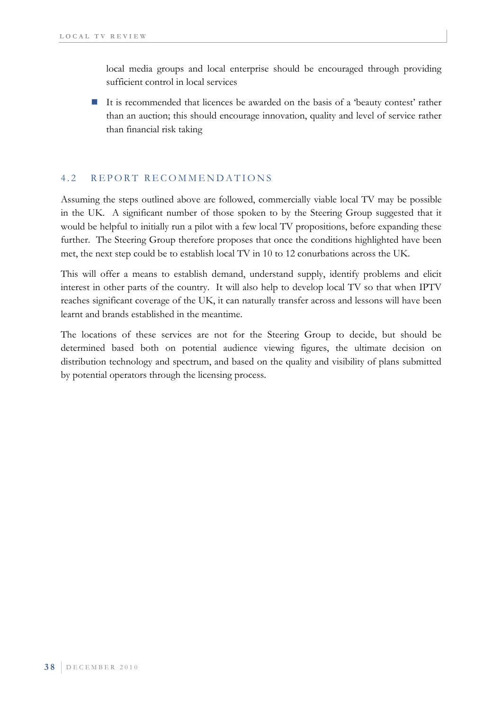local media groups and local enterprise should be encouraged through providing sufficient control in local services

 It is recommended that licences be awarded on the basis of a 'beauty contest' rather than an auction; this should encourage innovation, quality and level of service rather than financial risk taking

### 4.2 REPORT RECOMMENDATIONS

Assuming the steps outlined above are followed, commercially viable local TV may be possible in the UK. A significant number of those spoken to by the Steering Group suggested that it would be helpful to initially run a pilot with a few local TV propositions, before expanding these further. The Steering Group therefore proposes that once the conditions highlighted have been met, the next step could be to establish local TV in 10 to 12 conurbations across the UK.

This will offer a means to establish demand, understand supply, identify problems and elicit interest in other parts of the country. It will also help to develop local TV so that when IPTV reaches significant coverage of the UK, it can naturally transfer across and lessons will have been learnt and brands established in the meantime.

The locations of these services are not for the Steering Group to decide, but should be determined based both on potential audience viewing figures, the ultimate decision on distribution technology and spectrum, and based on the quality and visibility of plans submitted by potential operators through the licensing process.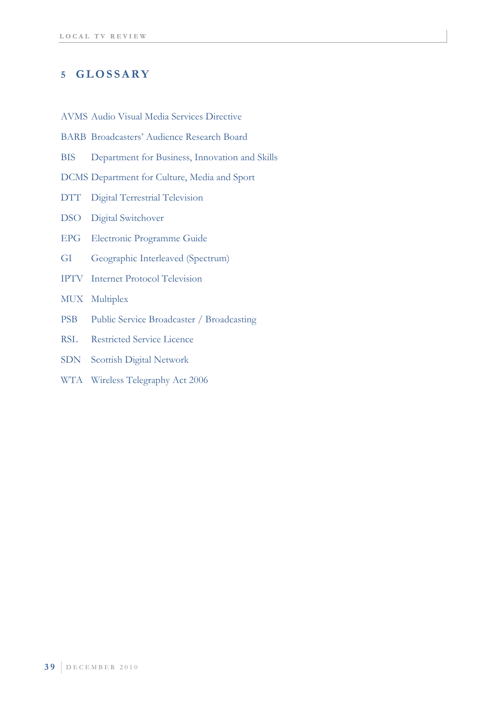## **5 GLOSSARY**

AVMS Audio Visual Media Services Directive

- BARB Broadcasters' Audience Research Board
- BIS Department for Business, Innovation and Skills

DCMS Department for Culture, Media and Sport

- DTT Digital Terrestrial Television
- DSO Digital Switchover
- EPG Electronic Programme Guide
- GI Geographic Interleaved (Spectrum)
- IPTV Internet Protocol Television
- MUX Multiplex
- PSB Public Service Broadcaster / Broadcasting
- RSL Restricted Service Licence
- SDN Scottish Digital Network
- WTA Wireless Telegraphy Act 2006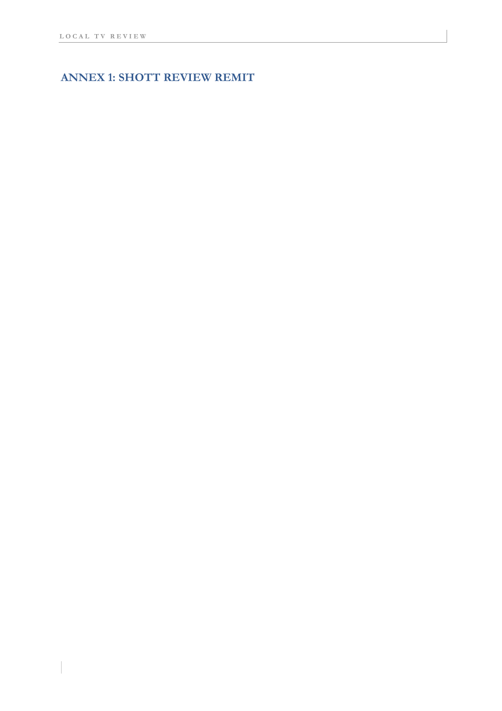# **ANNEX 1: SHOTT REVIEW REMIT**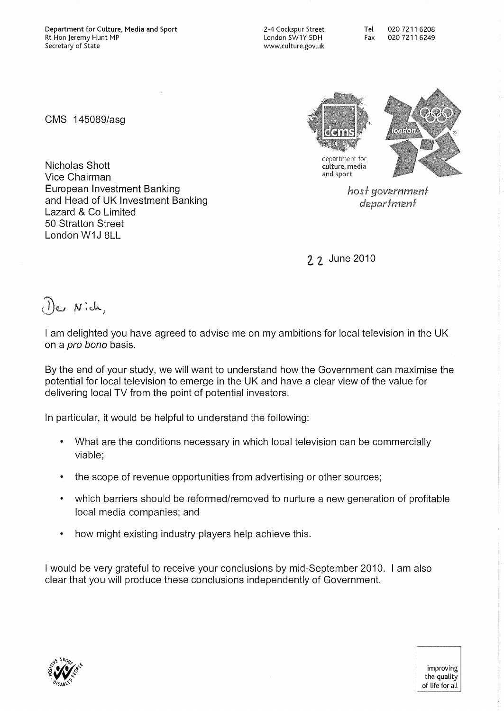European Investment Banking

and Head of UK Investment Banking

CMS 1450S9/asg

Nicholas Shott Vice Chairman

Lazard & Co Limited 50 Stratton Street London W1J 8LL

2-4 Cockspur Street London SW1Y SDH www.culture.gov.uk

Tel 02072116208 Fax 0207211 6249

department for culture, media and sport

> host government department

2. 2. June 2010

De Nich,

I am delighted you have agreed to advise me on my ambitions for local television in the UK on a pro bono basis.

By the end of your study, we will want to understand how the Government can maximise the potential for local television to emerge in the UK and have a clear view of the value for delivering local TV from the point of potential investors.

In particular, it would be helpful to understand the following:

- What are the conditions necessary in which local television can be commercially viable;
- the scope of revenue opportunities from advertising or other sources;
- which barriers should be reformed/removed to nurture a new generation of profitable local media companies; and
- how might existing industry players help achieve this.

I would be very grateful to receive your conclusions by mid-September 2010. I am also clear that you will produce these conclusions independently of Government.

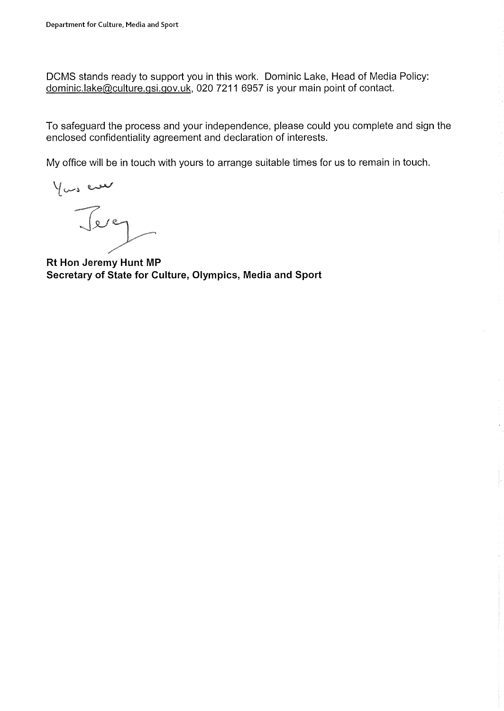DCMS stands ready to support you in this work. Dominic Lake, Head of Media Policy: dominic.lake@culture.gsi.gov.uk, 0207211 6957 is your main point of contact.

To safeguard the process and your independence, please could you complete and sign the enclosed confidentiality agreement and declaration of interests.

My office will be in touch with yours to arrange suitable times for us to remain in touch.

You ever

**Rt Hon Jeremy Hunt MP Secretary of State for Culture, Olympics, Media and Sport**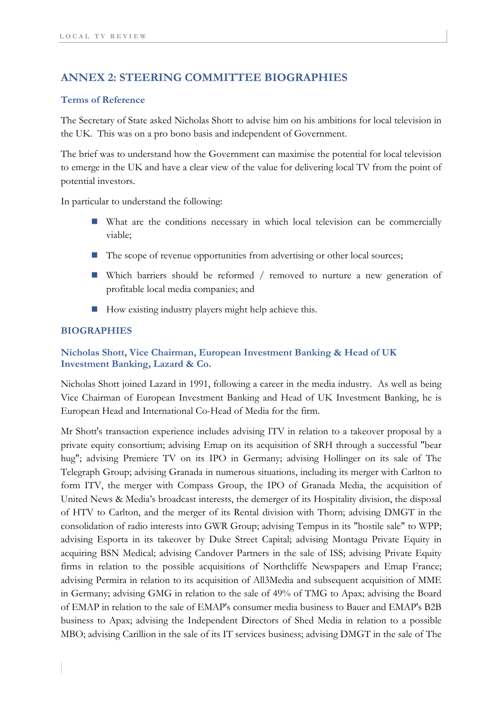## **ANNEX 2: STEERING COMMITTEE BIOGRAPHIES**

#### **Terms of Reference**

The Secretary of State asked Nicholas Shott to advise him on his ambitions for local television in the UK. This was on a pro bono basis and independent of Government.

The brief was to understand how the Government can maximise the potential for local television to emerge in the UK and have a clear view of the value for delivering local TV from the point of potential investors.

In particular to understand the following:

- What are the conditions necessary in which local television can be commercially viable;
- $\blacksquare$  The scope of revenue opportunities from advertising or other local sources;
- Which barriers should be reformed / removed to nurture a new generation of profitable local media companies; and
- How existing industry players might help achieve this.

### **BIOGRAPHIES**

## **Nicholas Shott, Vice Chairman, European Investment Banking & Head of UK Investment Banking, Lazard & Co.**

Nicholas Shott joined Lazard in 1991, following a career in the media industry. As well as being Vice Chairman of European Investment Banking and Head of UK Investment Banking, he is European Head and International Co-Head of Media for the firm.

Mr Shott's transaction experience includes advising ITV in relation to a takeover proposal by a private equity consortium; advising Emap on its acquisition of SRH through a successful "bear hug"; advising Premiere TV on its IPO in Germany; advising Hollinger on its sale of The Telegraph Group; advising Granada in numerous situations, including its merger with Carlton to form ITV, the merger with Compass Group, the IPO of Granada Media, the acquisition of United News & Media's broadcast interests, the demerger of its Hospitality division, the disposal of HTV to Carlton, and the merger of its Rental division with Thorn; advising DMGT in the consolidation of radio interests into GWR Group; advising Tempus in its "hostile sale" to WPP; advising Esporta in its takeover by Duke Street Capital; advising Montagu Private Equity in acquiring BSN Medical; advising Candover Partners in the sale of ISS; advising Private Equity firms in relation to the possible acquisitions of Northcliffe Newspapers and Emap France; advising Permira in relation to its acquisition of All3Media and subsequent acquisition of MME in Germany; advising GMG in relation to the sale of 49% of TMG to Apax; advising the Board of EMAP in relation to the sale of EMAP's consumer media business to Bauer and EMAP's B2B business to Apax; advising the Independent Directors of Shed Media in relation to a possible MBO; advising Carillion in the sale of its IT services business; advising DMGT in the sale of The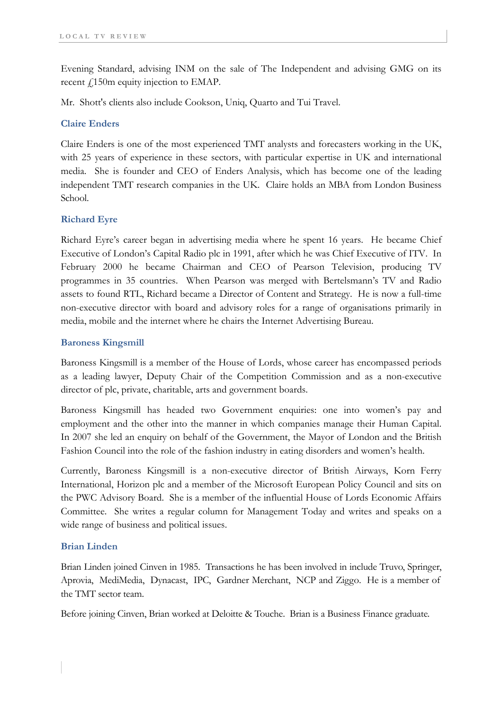Evening Standard, advising INM on the sale of The Independent and advising GMG on its recent  $\ell$ 150m equity injection to EMAP.

Mr. Shott's clients also include Cookson, Uniq, Quarto and Tui Travel.

### **Claire Enders**

Claire Enders is one of the most experienced TMT analysts and forecasters working in the UK, with 25 years of experience in these sectors, with particular expertise in UK and international media. She is founder and CEO of Enders Analysis, which has become one of the leading independent TMT research companies in the UK. Claire holds an MBA from London Business School.

#### **Richard Eyre**

Richard Eyre's career began in advertising media where he spent 16 years. He became Chief Executive of London's Capital Radio plc in 1991, after which he was Chief Executive of ITV. In February 2000 he became Chairman and CEO of Pearson Television, producing TV programmes in 35 countries. When Pearson was merged with Bertelsmann's TV and Radio assets to found RTL, Richard became a Director of Content and Strategy. He is now a full-time non-executive director with board and advisory roles for a range of organisations primarily in media, mobile and the internet where he chairs the Internet Advertising Bureau.

#### **Baroness Kingsmill**

Baroness Kingsmill is a member of the House of Lords, whose career has encompassed periods as a leading lawyer, Deputy Chair of the Competition Commission and as a non-executive director of plc, private, charitable, arts and government boards.

Baroness Kingsmill has headed two Government enquiries: one into women's pay and employment and the other into the manner in which companies manage their Human Capital. In 2007 she led an enquiry on behalf of the Government, the Mayor of London and the British Fashion Council into the role of the fashion industry in eating disorders and women's health.

Currently, Baroness Kingsmill is a non-executive director of British Airways, Korn Ferry International, Horizon plc and a member of the Microsoft European Policy Council and sits on the PWC Advisory Board. She is a member of the influential House of Lords Economic Affairs Committee. She writes a regular column for Management Today and writes and speaks on a wide range of business and political issues.

#### **Brian Linden**

Brian Linden joined Cinven in 1985. Transactions he has been involved in include Truvo, Springer, Aprovia, MediMedia, Dynacast, IPC, Gardner Merchant, NCP and Ziggo. He is a member of the TMT sector team.

Before joining Cinven, Brian worked at Deloitte & Touche. Brian is a Business Finance graduate.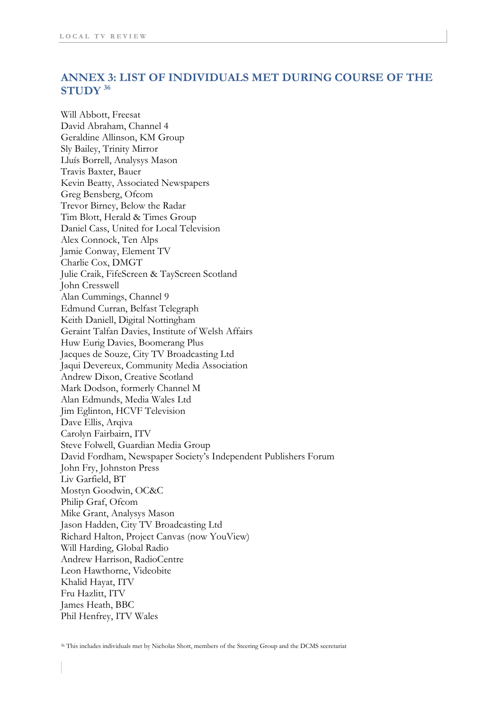## **ANNEX 3: LIST OF INDIVIDUALS MET DURING COURSE OF THE STUDY 36**

Will Abbott, Freesat David Abraham, Channel 4 Geraldine Allinson, KM Group Sly Bailey, Trinity Mirror Lluís Borrell, Analysys Mason Travis Baxter, Bauer Kevin Beatty, Associated Newspapers Greg Bensberg, Ofcom Trevor Birney, Below the Radar Tim Blott, Herald & Times Group Daniel Cass, United for Local Television Alex Connock, Ten Alps Jamie Conway, Element TV Charlie Cox, DMGT Julie Craik, FifeScreen & TayScreen Scotland John Cresswell Alan Cummings, Channel 9 Edmund Curran, Belfast Telegraph Keith Daniell, Digital Nottingham Geraint Talfan Davies, Institute of Welsh Affairs Huw Eurig Davies, Boomerang Plus Jacques de Souze, City TV Broadcasting Ltd Jaqui Devereux, Community Media Association Andrew Dixon, Creative Scotland Mark Dodson, formerly Channel M Alan Edmunds, Media Wales Ltd Jim Eglinton, HCVF Television Dave Ellis, Arqiva Carolyn Fairbairn, ITV Steve Folwell, Guardian Media Group David Fordham, Newspaper Society's Independent Publishers Forum John Fry, Johnston Press Liv Garfield, BT Mostyn Goodwin, OC&C Philip Graf, Ofcom Mike Grant, Analysys Mason Jason Hadden, City TV Broadcasting Ltd Richard Halton, Project Canvas (now YouView) Will Harding, Global Radio Andrew Harrison, RadioCentre Leon Hawthorne, Videobite Khalid Hayat, ITV Fru Hazlitt, ITV James Heath, BBC Phil Henfrey, ITV Wales

<sup>36</sup> This includes individuals met by Nicholas Shott, members of the Steering Group and the DCMS secretariat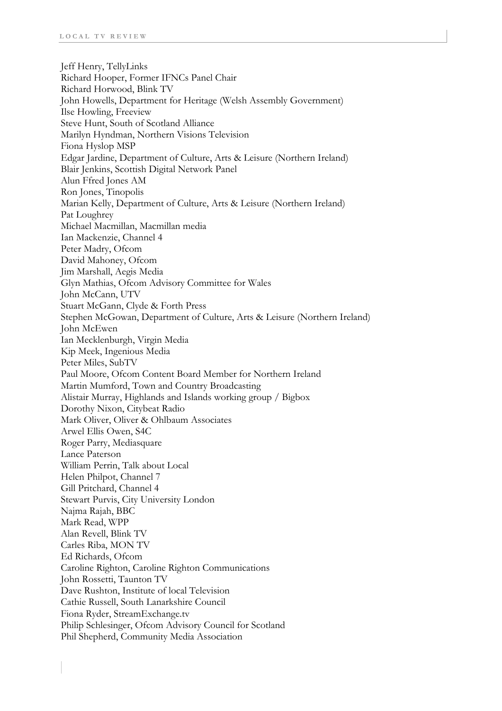Jeff Henry, TellyLinks Richard Hooper, Former IFNCs Panel Chair Richard Horwood, Blink TV John Howells, Department for Heritage (Welsh Assembly Government) Ilse Howling, Freeview Steve Hunt, South of Scotland Alliance Marilyn Hyndman, Northern Visions Television Fiona Hyslop MSP Edgar Jardine, Department of Culture, Arts & Leisure (Northern Ireland) Blair Jenkins, Scottish Digital Network Panel Alun Ffred Jones AM Ron Jones, Tinopolis Marian Kelly, Department of Culture, Arts & Leisure (Northern Ireland) Pat Loughrey Michael Macmillan, Macmillan media Ian Mackenzie, Channel 4 Peter Madry, Ofcom David Mahoney, Ofcom Jim Marshall, Aegis Media Glyn Mathias, Ofcom Advisory Committee for Wales John McCann, UTV Stuart McGann, Clyde & Forth Press Stephen McGowan, Department of Culture, Arts & Leisure (Northern Ireland) John McEwen Ian Mecklenburgh, Virgin Media Kip Meek, Ingenious Media Peter Miles, SubTV Paul Moore, Ofcom Content Board Member for Northern Ireland Martin Mumford, Town and Country Broadcasting Alistair Murray, Highlands and Islands working group / Bigbox Dorothy Nixon, Citybeat Radio Mark Oliver, Oliver & Ohlbaum Associates Arwel Ellis Owen, S4C Roger Parry, Mediasquare Lance Paterson William Perrin, Talk about Local Helen Philpot, Channel 7 Gill Pritchard, Channel 4 Stewart Purvis, City University London Najma Rajah, BBC Mark Read, WPP Alan Revell, Blink TV Carles Riba, MON TV Ed Richards, Ofcom Caroline Righton, Caroline Righton Communications John Rossetti, Taunton TV Dave Rushton, Institute of local Television Cathie Russell, South Lanarkshire Council Fiona Ryder, StreamExchange.tv Philip Schlesinger, Ofcom Advisory Council for Scotland Phil Shepherd, Community Media Association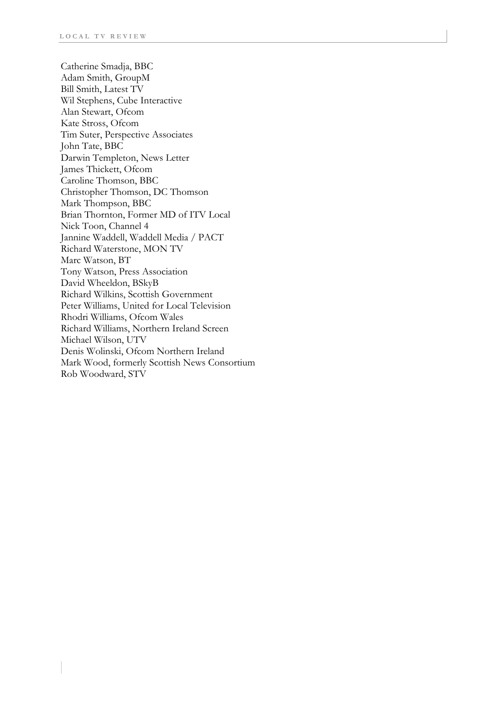Catherine Smadja, BBC Adam Smith, GroupM Bill Smith, Latest TV Wil Stephens, Cube Interactive Alan Stewart, Ofcom Kate Stross, Ofcom Tim Suter, Perspective Associates John Tate, BBC Darwin Templeton, News Letter James Thickett, Ofcom Caroline Thomson, BBC Christopher Thomson, DC Thomson Mark Thompson, BBC Brian Thornton, Former MD of ITV Local Nick Toon, Channel 4 Jannine Waddell, Waddell Media / PACT Richard Waterstone, MON TV Marc Watson, BT Tony Watson, Press Association David Wheeldon, BSkyB Richard Wilkins, Scottish Government Peter Williams, United for Local Television Rhodri Williams, Ofcom Wales Richard Williams, Northern Ireland Screen Michael Wilson, UTV Denis Wolinski, Ofcom Northern Ireland Mark Wood, formerly Scottish News Consortium Rob Woodward, STV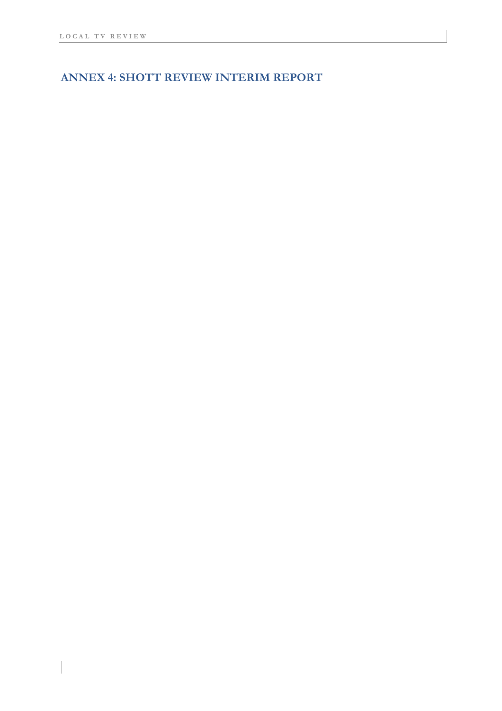## **ANNEX 4: SHOTT REVIEW INTERIM REPORT**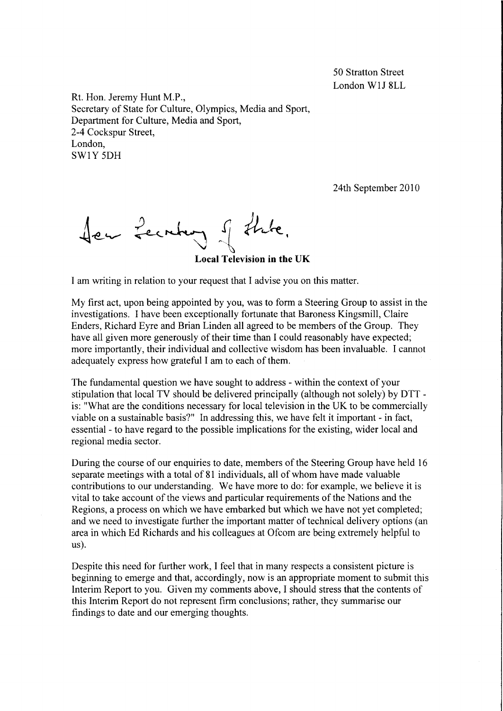50 Stratton Street London WlJ 8LL

Rt. Hon. Jeremy Hunt M.P., Secretary of State for Culture, Olympics, Media and Sport, Department for Culture, Media and Sport, 2-4 Cockspur Street, London, SW1Y 5DH

24th September 2010

Ser Lecritary of thate.

**Local Television in the UK** 

I am writing in relation to your request that I advise you on this matter.

My first act, upon being appointed by you, was to form a Steering Group to assist in the investigations. I have been exceptionally fortunate that Baroness Kingsmill, Claire Enders, Richard Eyre and Brian Linden all agreed to be members of the Group. They have all given more generously of their time than I could reasonably have expected; more importantly, their individual and collective wisdom has been invaluable. I cannot adequately express how grateful I am to each of them.

The fundamental question we have sought to address - within the context of your stipulation that local TV should be delivered principally (although not solely) by DTT is: "What are the conditions necessary for local television in the UK to be commercially viable on a sustainable basis?" **In** addressing this, we have felt it important - in fact, essential - to have regard to the possible implications for the existing, wider local and regional media sector.

During the course of our enquiries to date, members of the Steering Group have held 16 separate meetings with a total of 81 individuals, all of whom have made valuable contributions to our understanding. We have more to do: for example, we believe it is vital to take account of the views and particular requirements of the Nations and the Regions, a process on which we have embarked but which we have not yet completed; and we need to investigate further the important matter of technical delivery options (an area in which Ed Richards and his colleagues at Ofcom are being extremely helpful to us).

Despite this need for further work, I feel that in many respects a consistent picture is beginning to emerge and that, accordingly, now is an appropriate moment to submit this Interim Report to you. Given my comments above, I should stress that the contents of this Interim Report do not represent firm conclusions; rather, they summarise our findings to date and our emerging thoughts.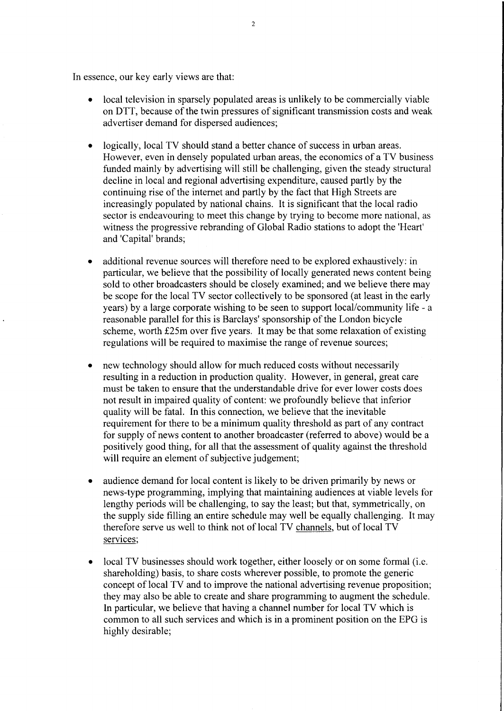In essence, our key early views are that:

- local television in sparsely populated areas is unlikely to be commercially viable on DTT, because of the twin pressures of significant transmission costs and weak advertiser demand for dispersed audiences;
- logically, local TV should stand a better chance of success in urban areas. However, even in densely populated urban areas, the economics of a TV business funded mainly by advertising will still be challenging, given the steady structural decline in local and regional advertising expenditure, caused partly by the continuing rise of the internet and partly by the fact that High Streets are increasingly populated by national chains. It is significant that the local radio sector is endeavouring to meet this change by trying to become more national, as witness the progressive rebranding of Global Radio stations to adopt the 'Heart' and 'Capital' brands;
- additional revenue sources will therefore need to be explored exhaustively: in particular, we believe that the possibility of locally generated news content being sold to other broadcasters should be closely examined; and we believe there may be scope for the local TV sector collectively to be sponsored (at least in the early years) by a large corporate wishing to be seen to support local/community life - a reasonable parallel for this is Barclays' sponsorship of the London bicycle scheme, worth £25m over five years. It may be that some relaxation of existing regulations will be required to maximise the range of revenue sources;
- new technology should allow for much reduced costs without necessarily resulting in a reduction in production quality. However, in general, great care must be taken to ensure that the understandable drive for ever lower costs does not result in impaired quality of content: we profoundly believe that inferior quality will be fatal. In this connection, we believe that the inevitable requirement for there to be a minimum quality threshold as part of any contract for supply of news content to another broadcaster (referred to above) would be a positively good thing, for all that the assessment of quality against the threshold will require an element of subjective judgement;
- audience demand for local content is likely to be driven primarily by news or news-type programming, implying that maintaining audiences at viable levels for lengthy periods will be challenging, to say the least; but that, symmetrically, on the supply side filling an entire schedule may well be equally challenging. It may therefore serve us well to think not of local TV channels, but of local TV services;
- local TV businesses should work together, either loosely or on some formal (i.e. shareholding) basis, to share costs wherever possible, to promote the generic concept of local TV and to improve the national advertising revenue proposition; they may also be able to create and share programming to augment the schedule. In particular, we believe that having a channel number for local TV which is common to all such services and which is in a prominent position on the EPG is highly desirable;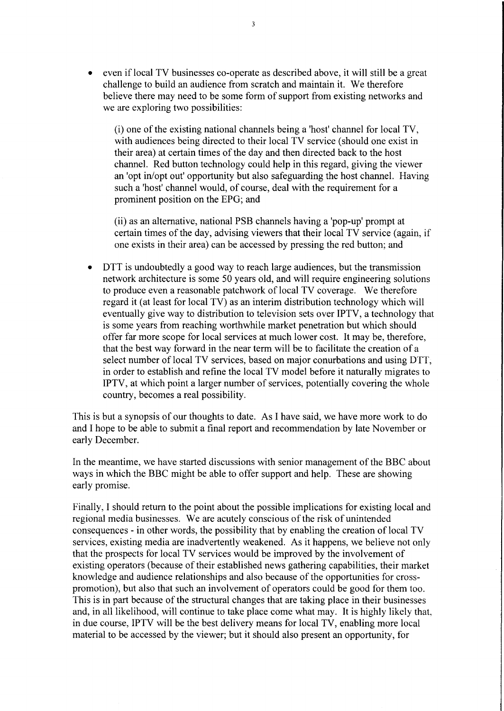• even if local TV businesses co-operate as described above, it will still be a great challenge to build an audience from scratch and maintain it. We therefore believe there may need to be some form of support from existing networks and we are exploring two possibilities:

(i) one of the existing national channels being a 'host' channel for local TV, with audiences being directed to their local TV service (should one exist in their area) at certain times of the day and then directed back to the host channel. Red button technology could help in this regard, giving the viewer an 'opt in/opt out' opportunity but also safeguarding the host channel. Having such a 'host' channel would, of course, deal with the requirement for a prominent position on the EPG; and

(ii) as an alternative, national PSB channels having a 'pop-up' prompt at certain times of the day, advising viewers that their local TV service (again, if one exists in their area) can be accessed by pressing the red button; and

• DTT is undoubtedly a good way to reach large audiences, but the transmission network architecture is some 50 years old, and will require engineering solutions to produce even a reasonable patchwork of local TV coverage. We therefore regard it (at least for local TV) as an interim distribution technology which will eventually give way to distribution to television sets over IPTV, a technology that is some years from reaching worthwhile market penetration but which should offer far more scope for local services at much lower cost. It may be, therefore, that the best way forward in the near term will be to facilitate the creation of a select number of local TV services, based on major conurbations and using DTT, in order to establish and refine the local TV model before it naturally migrates to IPTV, at which point a larger number of services, potentially covering the whole country, becomes a real possibility.

This is but a synopsis of our thoughts to date. As I have said, we have more work to do and I hope to be able to submit a final report and recommendation by late November or early December.

In the meantime, we have started discussions with senior management of the BBC about ways in which the BBC might be able to offer support and help. These are showing early promise.

Finally, I should return to the point about the possible implications for existing local and regional media businesses. We are acutely conscious of the risk of unintended consequences - in other words, the possibility that by enabling the creation of local TV services, existing media are inadvertently weakened. As it happens, we believe not only that the prospects for local TV services would be improved by the involvement of existing operators (because of their established news gathering capabilities, their market knowledge and audience relationships and also because of the opportunities for crosspromotion), but also that such an involvement of operators could be good for them too. This is in part because of the structural changes that are taking place in their businesses and, in all likelihood, will continue to take place come what may. It is highly likely that, in due course, IPTV will be the best delivery means for local TV, enabling more local material to be accessed by the viewer; but it should also present an opportunity, for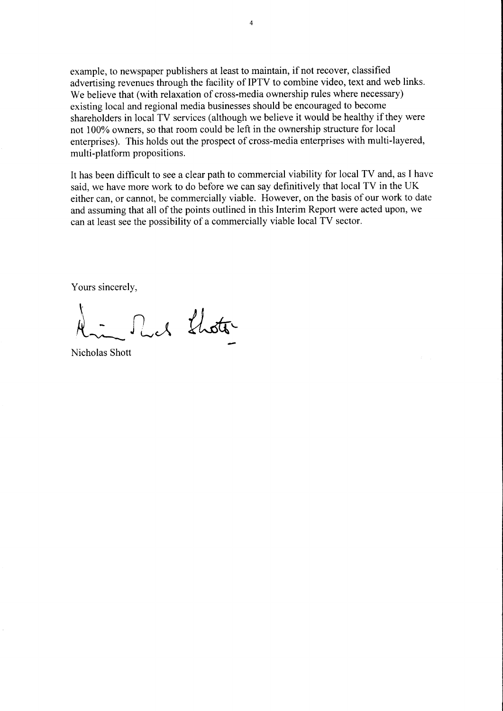example, to newspaper publishers at least to maintain, if not recover, classified advertising revenues through the facility of IPTV to combine video, text and web links. We believe that (with relaxation of cross-media ownership rules where necessary) existing local and regional media businesses should be encouraged to become shareholders in local TV services (although we believe it would be healthy if they were not 100% owners, so that room could be left in the ownership structure for local enterprises). This holds out the prospect of cross-media enterprises with multi-layered, multi-platform propositions.

It has been difficult to see a clear path to commercial viability for local TV and, as I have said, we have more work to do before we can say definitively that local TV in the UK either can, or cannot, be commercially viable. However, on the basis of our work to date and assuming that all of the points outlined in this Interim Report were acted upon, we can at least see the possibility of a commercially viable local TV sector.

Yours sincerely,

A - Much Lhotte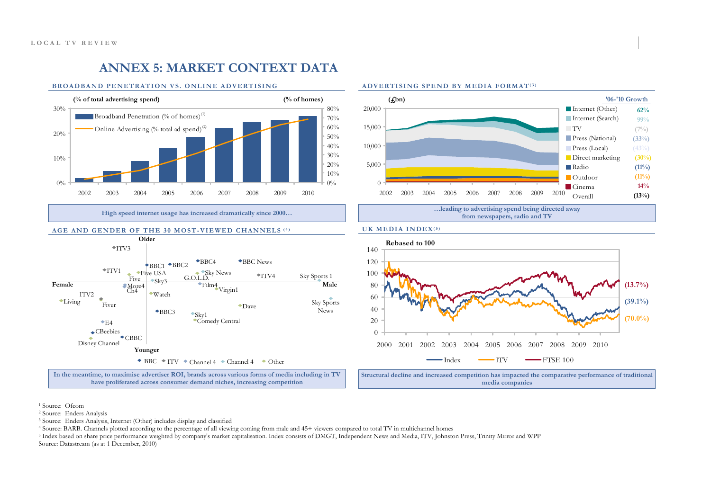# **ANNEX 5: MARKET CONTEXT DATA**

#### **BROADBAND PENETRATION VS. ONLINE ADVERTISING**



**High speed internet usage has increased dramatically since 2000…** 

#### **AGE AND GENDER OF THE 30 MOST-VIEWED CHANNELS (4)**



#### **ADVERTISING SPEND BY MEDIA FORMAT(3)**



#### **UK MEDIA INDEX(5)**



**media companies** 

1 Source: Ofcom

2 Source: Enders Analysis

3 Source: Enders Analysis, Internet (Other) includes display and classified

4 Source: BARB. Channels plotted according to the percentage of all viewing coming from male and 45+ viewers compared to total TV in multichannel homes

<sup>5</sup> Index based on share price performance weighted by company's market capitalisation. Index consists of DMGT, Independent News and Media, ITV, Johnston Press, Trinity Mirror and WPP Source: Datastream (as at 1 December, 2010)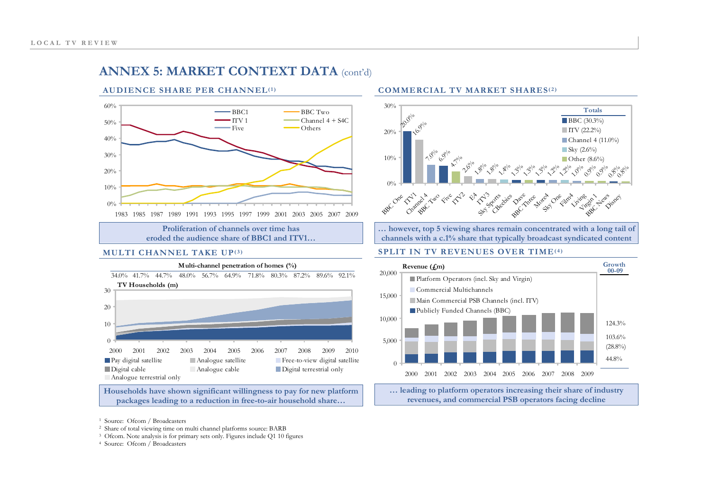# **ANNEX 5: MARKET CONTEXT DATA** (cont'd)

#### **AUDIENCE SHARE PER CHANNEL(1)**



**Proliferation of channels over time has eroded the audience share of BBC1 and ITV1…**

#### **MULTI CHANNEL TAKE UP(3)**



**Households have shown significant willingness to pay for new platform packages leading to a reduction in free-to-air household share…**

#### **COMMERCIAL TV MARKET SHARES(2)**



**… however, top 5 viewing shares remain concentrated with a long tail of channels with a c.1% share that typically broadcast syndicated content** 

#### **SPLIT IN TV REVENUES OVER TIME(4)**



**… leading to platform operators increasing their share of industry revenues, and commercial PSB operators facing decline**

- 1 Source: Ofcom / Broadcasters
- 2 Share of total viewing time on multi channel platforms source: BARB
- <sup>3</sup> Ofcom. Note analysis is for primary sets only. Figures include Q1 10 figures
- 4 Source: Ofcom / Broadcasters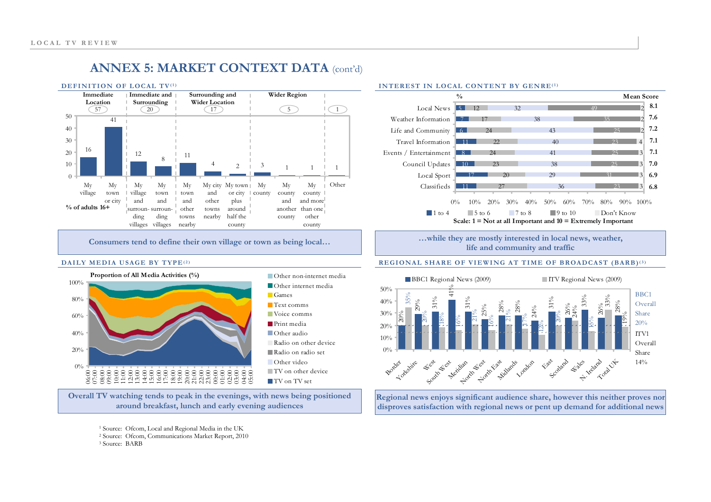

**Consumers tend to define their own village or town as being local…** 

#### **DAILY MEDIA USAGE BY TYPE(2)**



**Overall TV watching tends to peak in the evenings, with news being positioned around breakfast, lunch and early evening audiences** 

3 Source: BARB



#### **INTEREST IN LOCAL CONTENT BY GENRE(1)**

**…while they are mostly interested in local news, weather, life and community and traffic** 

#### **REGIONAL SHARE OF VIEWING AT TIME OF BROADCAST (BARB)(3)**



**Regional news enjoys significant audience share, however this neither proves nor disproves satisfaction with regional news or pent up demand for additional news** 

<sup>1</sup> Source: Ofcom, Local and Regional Media in the UK

<sup>2</sup> Source: Ofcom, Communications Market Report, 2010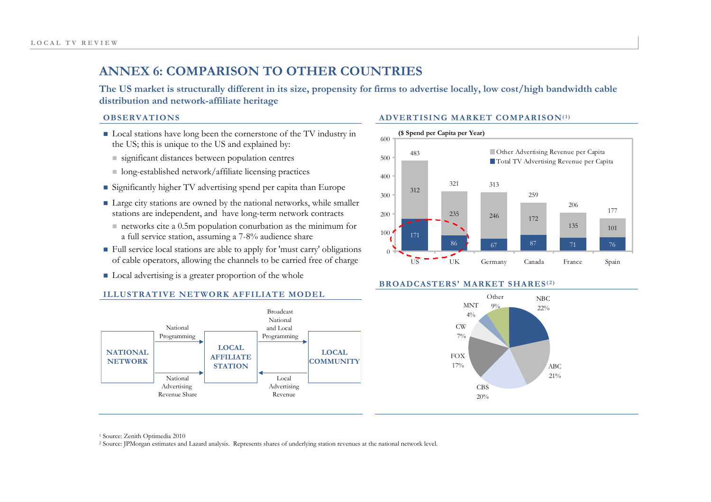# **ANNEX 6: COMPARISON TO OTHER COUNTRIES**

**The US market is structurally different in its size, propensity for firms to advertise locally, low cost/high bandwidth cable distribution and network-affiliate heritage** 

#### **OBSERVATIONS**

- Local stations have long been the cornerstone of the TV industry in the US; this is unique to the US and explained by:
	- significant distances between population centres
	- $\blacksquare$  long-established network/affiliate licensing practices
- Significantly higher TV advertising spend per capita than Europe
- Large city stations are owned by the national networks, while smaller stations are independent, and have long-term network contracts
	- $\blacksquare$  networks cite a 0.5m population conurbation as the minimum for a full service station, assuming a 7-8% audience share
- $\blacksquare$  Full service local stations are able to apply for 'must carry' obligations of cable operators, allowing the channels to be carried free of charge
- Local advertising is a greater proportion of the whole



#### **ADVERTISING MARKET COMPARISON(1)**



#### **BROADCASTERS' MARKET SHARES(2)**



1 Source: Zenith Optimedia 2010

2 Source: JPMorgan estimates and Lazard analysis. Represents shares of underlying station revenues at the national network level.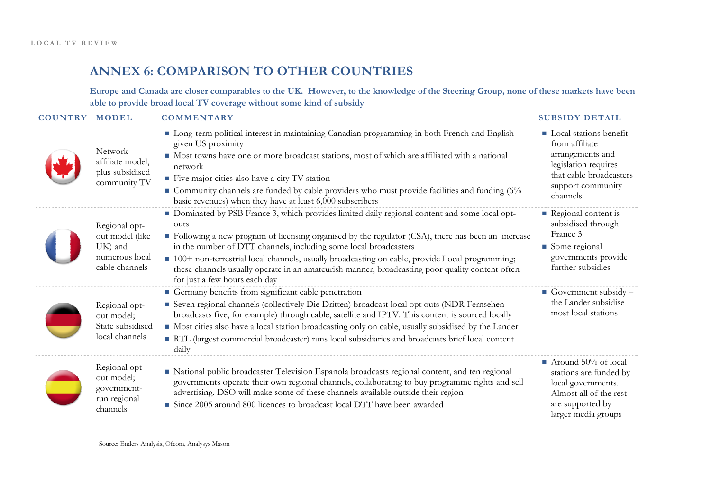# **ANNEX 6: COMPARISON TO OTHER COUNTRIES**

**Europe and Canada are cl oser comparables to the UK. However, to the knowledge of the Steering Group, none of these markets have been able to provide broad local TV coverage without some kind of subsidy**

| <b>COUNTRY MODEL</b> |                                                                                 | <b>COMMENTARY</b>                                                                                                                                                                                                                                                                                                                                                                                                                                                                                                       | <b>SUBSIDY DETAIL</b>                                                                                                                                   |
|----------------------|---------------------------------------------------------------------------------|-------------------------------------------------------------------------------------------------------------------------------------------------------------------------------------------------------------------------------------------------------------------------------------------------------------------------------------------------------------------------------------------------------------------------------------------------------------------------------------------------------------------------|---------------------------------------------------------------------------------------------------------------------------------------------------------|
|                      | Network-<br>affiliate model,<br>plus subsidised<br>community TV                 | Long-term political interest in maintaining Canadian programming in both French and English<br>given US proximity<br>Most towns have one or more broadcast stations, most of which are affiliated with a national<br>network<br>Five major cities also have a city TV station<br>Community channels are funded by cable providers who must provide facilities and funding (6%<br>basic revenues) when they have at least 6,000 subscribers                                                                              | <b>Local stations benefit</b><br>from affiliate<br>arrangements and<br>legislation requires<br>that cable broadcasters<br>support community<br>channels |
|                      | Regional opt-<br>out model (like<br>UK) and<br>numerous local<br>cable channels | • Dominated by PSB France 3, which provides limited daily regional content and some local opt-<br>outs<br>• Following a new program of licensing organised by the regulator (CSA), there has been an increase<br>in the number of DTT channels, including some local broadcasters<br>100+ non-terrestrial local channels, usually broadcasting on cable, provide Local programming;<br>these channels usually operate in an amateurish manner, broadcasting poor quality content often<br>for just a few hours each day | Regional content is<br>subsidised through<br>France 3<br>Some regional<br>governments provide<br>further subsidies                                      |
|                      | Regional opt-<br>out model;<br>State subsidised<br>local channels               | Germany benefits from significant cable penetration<br>Seven regional channels (collectively Die Dritten) broadcast local opt outs (NDR Fernsehen<br>broadcasts five, for example) through cable, satellite and IPTV. This content is sourced locally<br>• Most cities also have a local station broadcasting only on cable, usually subsidised by the Lander<br>RTL (largest commercial broadcaster) runs local subsidiaries and broadcasts brief local content<br>daily                                               | Government subsidy $-$<br>the Lander subsidise<br>most local stations                                                                                   |
|                      | Regional opt-<br>out model;<br>government-<br>run regional<br>channels          | • National public broadcaster Television Espanola broadcasts regional content, and ten regional<br>governments operate their own regional channels, collaborating to buy programme rights and sell<br>advertising. DSO will make some of these channels available outside their region<br>• Since 2005 around 800 licences to broadcast local DTT have been awarded                                                                                                                                                     | $\blacksquare$ Around 50% of local<br>stations are funded by<br>local governments.<br>Almost all of the rest<br>are supported by<br>larger media groups |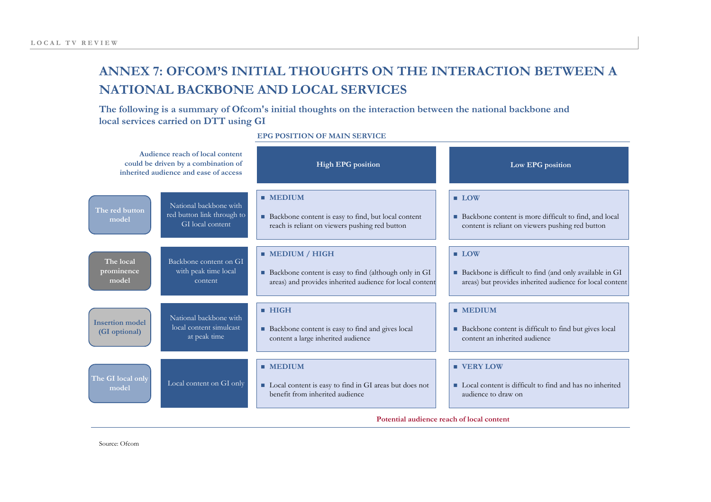# **ANNEX 7: OFCOM'S INITIAL THOUGHTS ON THE INTERACTION BETWEEN A NATIONAL BACKBONE AND LOCAL SERVICES**

**The following is a summary of Ofcom's initial thoughts on the interaction between the national backbone and local services carried on DTT using GI** 

| Audience reach of local content<br>could be driven by a combination of<br>inherited audience and ease of access |                                                                          | <b>High EPG</b> position                                                                                                                          | Low EPG position                                                                                                                            |  |
|-----------------------------------------------------------------------------------------------------------------|--------------------------------------------------------------------------|---------------------------------------------------------------------------------------------------------------------------------------------------|---------------------------------------------------------------------------------------------------------------------------------------------|--|
| The red button<br>model                                                                                         | National backbone with<br>red button link through to<br>GI local content | $M$ EDIUM<br>■ Backbone content is easy to find, but local content<br>reach is reliant on viewers pushing red button                              | $\blacksquare$ LOW<br>■ Backbone content is more difficult to find, and local<br>content is reliant on viewers pushing red button           |  |
| The local<br>prominence<br>model                                                                                | Backbone content on GI<br>with peak time local<br>content                | $\blacksquare$ MEDIUM / HIGH<br>Backbone content is easy to find (although only in GI<br>areas) and provides inherited audience for local content | $\blacksquare$ LOW<br>■ Backbone is difficult to find (and only available in GI<br>areas) but provides inherited audience for local content |  |
| <b>Insertion model</b><br>(GI optional)                                                                         | National backbone with<br>local content simulcast<br>at peak time        | $\blacksquare$ HIGH<br>Backbone content is easy to find and gives local<br>content a large inherited audience                                     | $M$ MEDIUM<br>• Backbone content is difficult to find but gives local<br>content an inherited audience                                      |  |
| The GI local only<br>model                                                                                      | Local content on GI only                                                 | $\blacksquare$ MEDIUM<br>Local content is easy to find in GI areas but does not<br>benefit from inherited audience                                | <b>U VERY LOW</b><br>■ Local content is difficult to find and has no inherited<br>audience to draw on                                       |  |
| Potential audience reach of local content                                                                       |                                                                          |                                                                                                                                                   |                                                                                                                                             |  |

**EPG POSITION OF MAIN SERVICE**

Source: Ofcom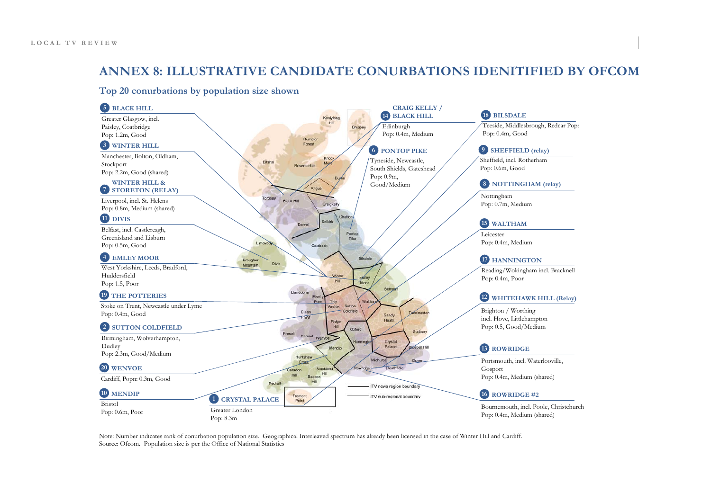## **ANNEX 8: ILLUSTRATIVE CANDIDATE CONURBATIONS IDENITIFIED BY OFCOM**

#### **Top 20 conurbations by population size shown**



Note: Number indicates rank of conurbation population size. Geographical Interleaved spectrum has already been licensed in the case of Winter Hill and Cardiff. Source: Ofcom. Population size is per the Office of National Statistics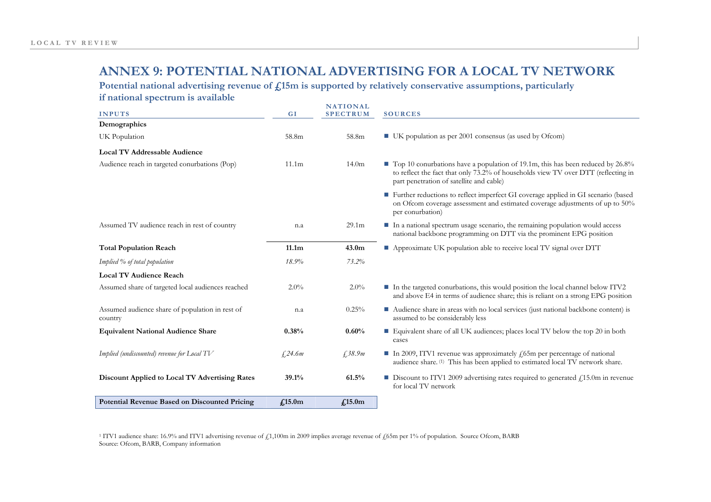## **ANNEX 9: POTENTIAL NATIONAL ADVERTISING FOR A LOCAL TV NETWORK**

Potential national advertising revenue of  $\mathbf{f}$ ,15m is supported by relatively conservative assumptions, particularly

**if national spectrum is available** 

| <b>INPUTS</b>                                              | GI                 | <b>NATIONAL</b><br><b>SPECTRUM</b> | <b>SOURCES</b>                                                                                                                                                                                                  |
|------------------------------------------------------------|--------------------|------------------------------------|-----------------------------------------------------------------------------------------------------------------------------------------------------------------------------------------------------------------|
| Demographics                                               |                    |                                    |                                                                                                                                                                                                                 |
| UK Population                                              | 58.8m              | 58.8m                              | $\blacksquare$ UK population as per 2001 consensus (as used by Ofcom)                                                                                                                                           |
| <b>Local TV Addressable Audience</b>                       |                    |                                    |                                                                                                                                                                                                                 |
| Audience reach in targeted conurbations (Pop)              | 11.1 <sub>m</sub>  | 14.0 <sub>m</sub>                  | Top 10 conurbations have a population of 19.1m, this has been reduced by 26.8%<br>to reflect the fact that only 73.2% of households view TV over DTT (reflecting in<br>part penetration of satellite and cable) |
|                                                            |                    |                                    | Further reductions to reflect imperfect GI coverage applied in GI scenario (based<br>on Ofcom coverage assessment and estimated coverage adjustments of up to 50%<br>per conurbation)                           |
| Assumed TV audience reach in rest of country               | n.a                | 29.1 <sub>m</sub>                  | In a national spectrum usage scenario, the remaining population would access<br>national backbone programming on DTT via the prominent EPG position                                                             |
| <b>Total Population Reach</b>                              | 11.1m              | 43.0 <sub>m</sub>                  | Approximate UK population able to receive local TV signal over DTT                                                                                                                                              |
| Implied % of total population                              | 18.9%              | 73.2%                              |                                                                                                                                                                                                                 |
| <b>Local TV Audience Reach</b>                             |                    |                                    |                                                                                                                                                                                                                 |
| Assumed share of targeted local audiences reached          | $2.0\%$            | $2.0\%$                            | In the targeted conurbations, this would position the local channel below ITV2<br>and above E4 in terms of audience share; this is reliant on a strong EPG position                                             |
| Assumed audience share of population in rest of<br>country | n.a                | 0.25%                              | ■ Audience share in areas with no local services (just national backbone content) is<br>assumed to be considerably less                                                                                         |
| <b>Equivalent National Audience Share</b>                  | 0.38%              | 0.60%                              | Equivalent share of all UK audiences; places local TV below the top 20 in both<br>cases                                                                                                                         |
| Implied (undiscounted) revenue for Local TV                | £24.6m             | £, 38.9m                           | In 2009, ITV1 revenue was approximately $f(55m)$ per percentage of national<br>audience share. <sup>(1)</sup> This has been applied to estimated local TV network share.                                        |
| Discount Applied to Local TV Advertising Rates             | 39.1%              | 61.5%                              | <b>Discount to ITV1 2009 advertising rates required to generated </b> $\ell$ , 15.0m in revenue<br>for local TV network                                                                                         |
| <b>Potential Revenue Based on Discounted Pricing</b>       | f <sub>15.0m</sub> | f <sub>15.0m</sub>                 |                                                                                                                                                                                                                 |

<sup>1</sup> ITV1 audience share: 16.9% and ITV1 advertising revenue of £1,100m in 2009 implies average revenue of £65m per 1% of population. Source Ofcom, BARB Source: Ofcom, BARB, Company information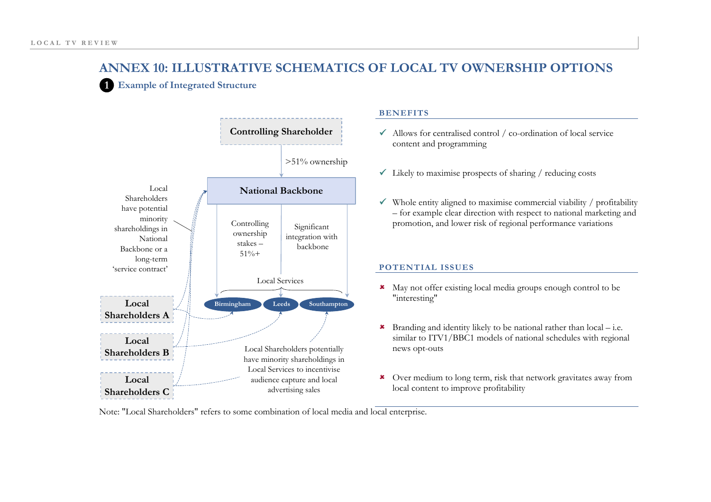**1Example of Integrated Structure** 



#### **BENEFITS**

- $\checkmark$  Allows for centralised control / co-ordination of local service content and programming
- $\checkmark$  Likely to maximise prospects of sharing / reducing costs
- $\checkmark$  Whole entity aligned to maximise commercial viability / profitability – for example clear direction with respect to national marketing and promotion, and lower risk of regional performance variations

#### **POTENTIAL ISSUES**

- \* May not offer existing local media groups enough control to be "interesting"
- **\*** Branding and identity likely to be national rather than  $local$  i.e. similar to ITV1/BBC1 models of national schedules with regional news opt-outs
- 8 Over medium to long term, risk that network gravitates away from local content to improve profitability

Note: "Local Shareholders" refers to some combination of local media and local enterprise.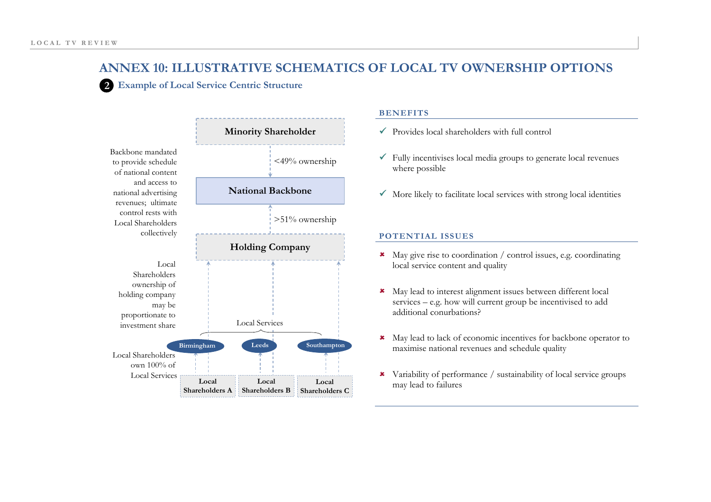**2 Example of Local Service Centric Structure** 



#### **BENEFITS**

- $\sqrt{\ }$  Provides local shareholders with full control
- $\checkmark$  Fully incentivises local media groups to generate local revenues where possible
- $\checkmark$  More likely to facilitate local services with strong local identities

#### **POTENTIAL ISSUES**

- 8 May give rise to coordination / control issues, e.g. coordinating local service content and quality
- \* May lead to interest alignment issues between different local services – e.g. how will current group be incentivised to add additional conurbations?
- 8 May lead to lack of economic incentives for backbone operator to maximise national revenues and schedule quality
- 8 Variability of performance / sustainability of local service groups may lead to failures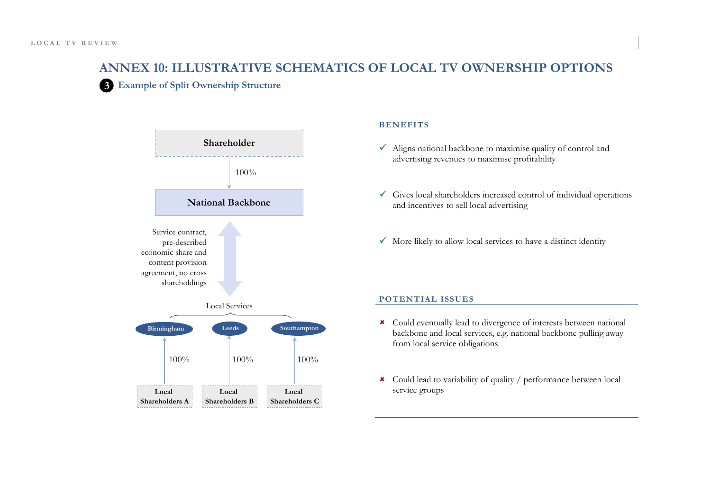**3 Example of Split Ownership Structure** 



#### **BENEFITS**

- $\checkmark$  Aligns national backbone to maximise quality of control and advertising revenues to maximise profitability
- $\checkmark$  Gives local shareholders increased control of individual operations and incentives to sell local advertising
- $\checkmark$  More likely to allow local services to have a distinct identity

#### **POTENTIAL ISSUES**

- \* Could eventually lead to divergence of interests between national backbone and local services, e.g. national backbone pulling away from local service obligations
- 8 Could lead to variability of quality / performance between local service groups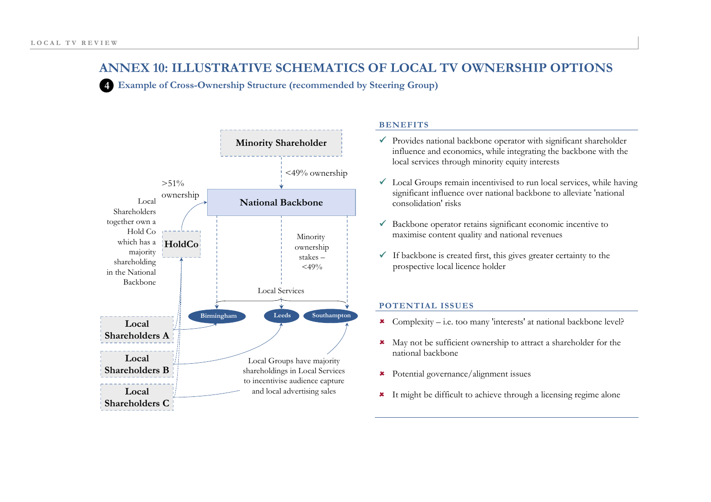**4Example of Cross-Ownership Structure (recommended by Steering Group)** 



#### **BENEFITS**

- $\checkmark$  Provides national backbone operator with significant shareholder influence and economics, while integrating the backbone with the local services through minority equity interests
- $\checkmark$  Local Groups remain incentivised to run local services, while having significant influence over national backbone to alleviate 'national consolidation' risks
- $\checkmark$  Backbone operator retains significant economic incentive to maximise content quality and national revenues
- $\checkmark$  If backbone is created first, this gives greater certainty to the prospective local licence holder

#### **POTENTIAL ISSUES**

- **8** Complexity i.e. too many 'interests' at national backbone level?
- 8 May not be sufficient ownership to attract a shareholder for the national backbone
- 8 Potential governance/alignment issues
- 8 It might be difficult to achieve through a licensing regime alone